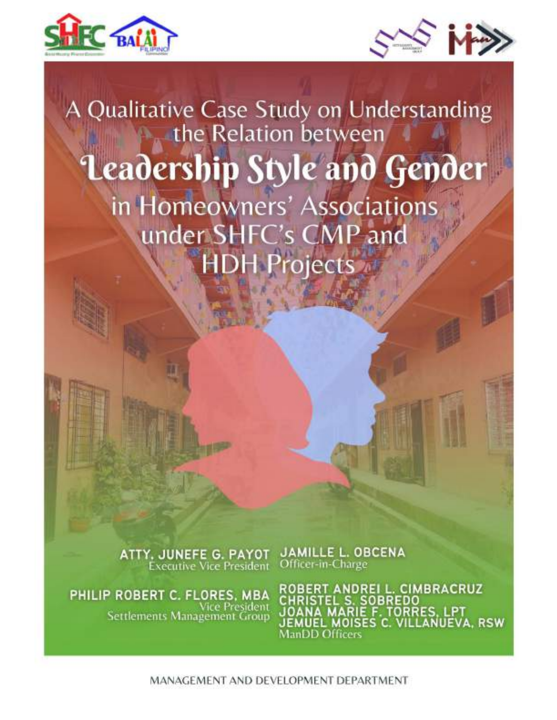



# A Qualitative Case Study on Understanding<br>the Relation between Leadership Style and Gender in Homeowners' Associations under SHFC's CMP and **HDH Projects**

**ATTY, JUNEFE G. PAYOT**<br>Executive Vice President

PHILIP ROBERT C. FLORES, MBA Vice President<br>Settlements Management Group **JAMILLE L. OBCENA** Officer-in-Charge

ROBERT ANDREI L. CIMBRACRUZ<br>CHRISTEL S. SOBREDO<br>JOANA MARIE F. TORRES, LPT UEL MOISES C. VILLANUEVA, RSW ManDD Officers

MANAGEMENT AND DEVELOPMENT DEPARTMENT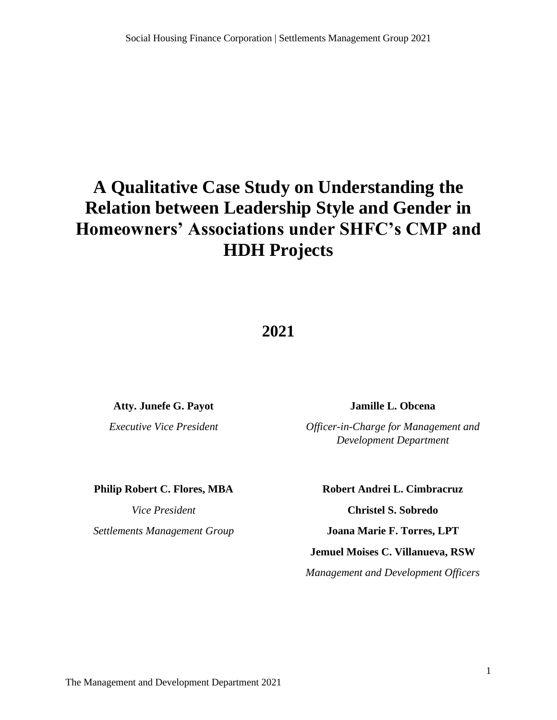# **A Qualitative Case Study on Understanding the Relation between Leadership Style and Gender in Homeowners' Associations under SHFC's CMP and HDH Projects**

# **2021**

**Atty. Junefe G. Payot**

*Executive Vice President*

**Jamille L. Obcena**

*Officer-in-Charge for Management and Development Department*

**Philip Robert C. Flores, MBA**

*Vice President*

*Settlements Management Group*

#### **Robert Andrei L. Cimbracruz**

**Christel S. Sobredo**

**Joana Marie F. Torres, LPT**

#### **Jemuel Moises C. Villanueva, RSW**

*Management and Development Officers*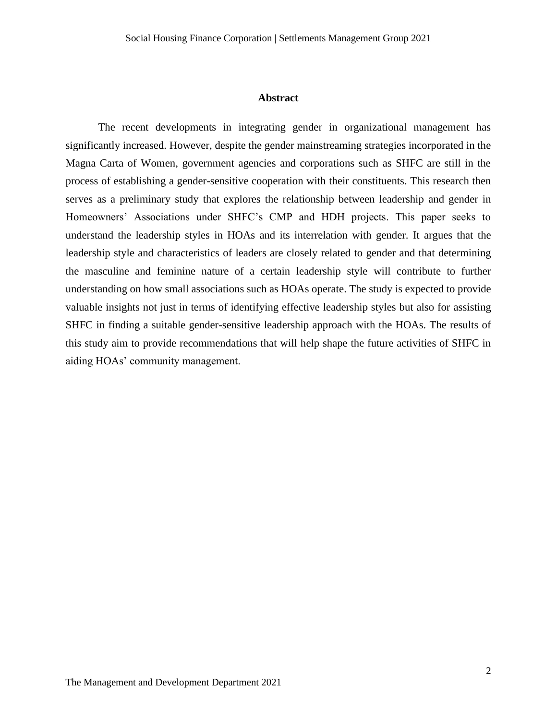#### **Abstract**

The recent developments in integrating gender in organizational management has significantly increased. However, despite the gender mainstreaming strategies incorporated in the Magna Carta of Women, government agencies and corporations such as SHFC are still in the process of establishing a gender-sensitive cooperation with their constituents. This research then serves as a preliminary study that explores the relationship between leadership and gender in Homeowners' Associations under SHFC's CMP and HDH projects. This paper seeks to understand the leadership styles in HOAs and its interrelation with gender. It argues that the leadership style and characteristics of leaders are closely related to gender and that determining the masculine and feminine nature of a certain leadership style will contribute to further understanding on how small associations such as HOAs operate. The study is expected to provide valuable insights not just in terms of identifying effective leadership styles but also for assisting SHFC in finding a suitable gender-sensitive leadership approach with the HOAs. The results of this study aim to provide recommendations that will help shape the future activities of SHFC in aiding HOAs' community management.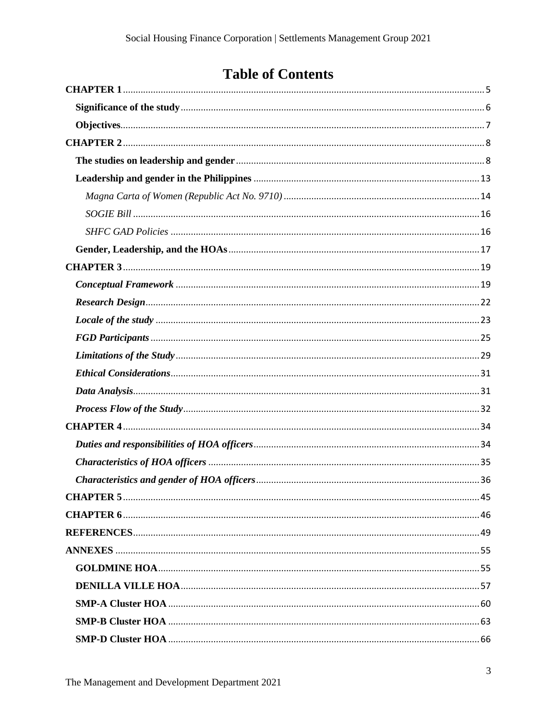# **Table of Contents**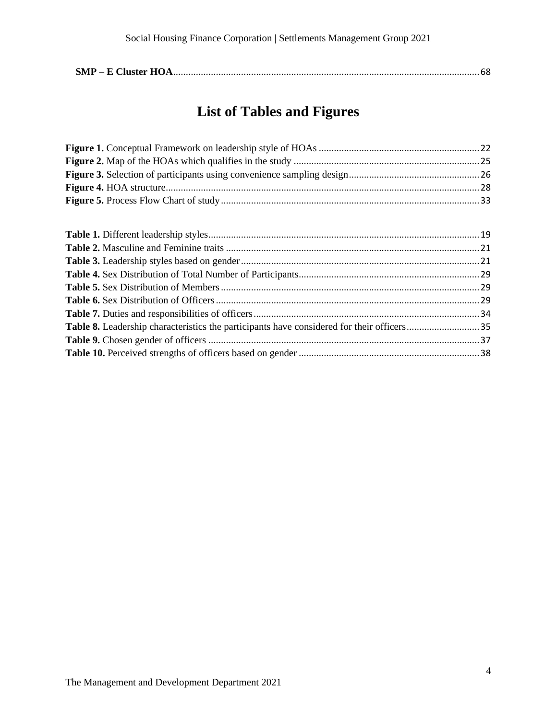|--|--|

# **List of Tables and Figures**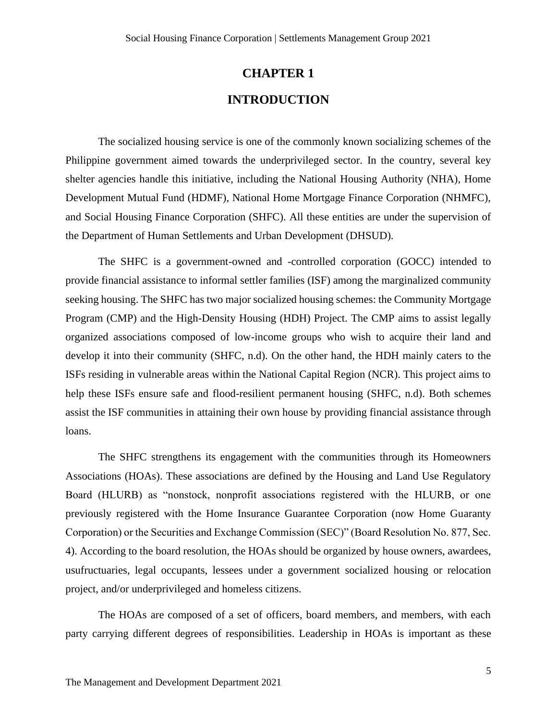# **CHAPTER 1 INTRODUCTION**

<span id="page-5-0"></span>The socialized housing service is one of the commonly known socializing schemes of the Philippine government aimed towards the underprivileged sector. In the country, several key shelter agencies handle this initiative, including the National Housing Authority (NHA), Home Development Mutual Fund (HDMF), National Home Mortgage Finance Corporation (NHMFC), and Social Housing Finance Corporation (SHFC). All these entities are under the supervision of the Department of Human Settlements and Urban Development (DHSUD).

The SHFC is a government-owned and -controlled corporation (GOCC) intended to provide financial assistance to informal settler families (ISF) among the marginalized community seeking housing. The SHFC has two major socialized housing schemes: the Community Mortgage Program (CMP) and the High-Density Housing (HDH) Project. The CMP aims to assist legally organized associations composed of low-income groups who wish to acquire their land and develop it into their community (SHFC, n.d). On the other hand, the HDH mainly caters to the ISFs residing in vulnerable areas within the National Capital Region (NCR). This project aims to help these ISFs ensure safe and flood-resilient permanent housing (SHFC, n.d). Both schemes assist the ISF communities in attaining their own house by providing financial assistance through loans.

The SHFC strengthens its engagement with the communities through its Homeowners Associations (HOAs). These associations are defined by the Housing and Land Use Regulatory Board (HLURB) as "nonstock, nonprofit associations registered with the HLURB, or one previously registered with the Home Insurance Guarantee Corporation (now Home Guaranty Corporation) or the Securities and Exchange Commission (SEC)" (Board Resolution No. 877, Sec. 4). According to the board resolution, the HOAs should be organized by house owners, awardees, usufructuaries, legal occupants, lessees under a government socialized housing or relocation project, and/or underprivileged and homeless citizens.

The HOAs are composed of a set of officers, board members, and members, with each party carrying different degrees of responsibilities. Leadership in HOAs is important as these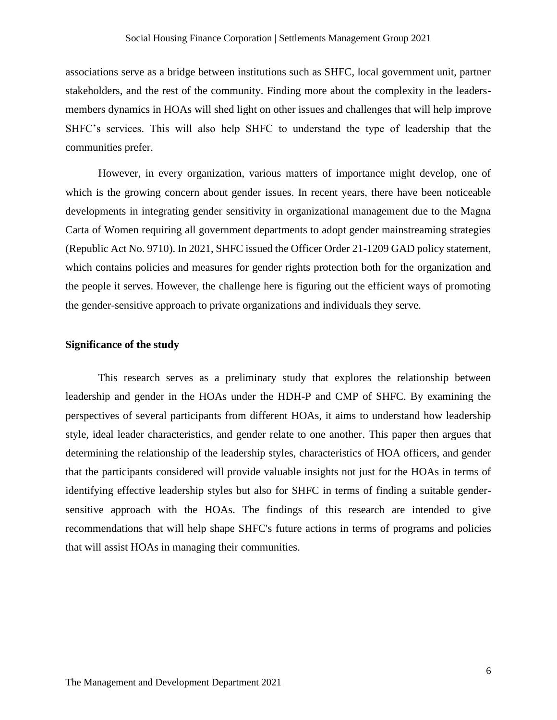associations serve as a bridge between institutions such as SHFC, local government unit, partner stakeholders, and the rest of the community. Finding more about the complexity in the leadersmembers dynamics in HOAs will shed light on other issues and challenges that will help improve SHFC's services. This will also help SHFC to understand the type of leadership that the communities prefer.

However, in every organization, various matters of importance might develop, one of which is the growing concern about gender issues. In recent years, there have been noticeable developments in integrating gender sensitivity in organizational management due to the Magna Carta of Women requiring all government departments to adopt gender mainstreaming strategies (Republic Act No. 9710). In 2021, SHFC issued the Officer Order 21-1209 GAD policy statement, which contains policies and measures for gender rights protection both for the organization and the people it serves. However, the challenge here is figuring out the efficient ways of promoting the gender-sensitive approach to private organizations and individuals they serve.

#### <span id="page-6-0"></span>**Significance of the study**

This research serves as a preliminary study that explores the relationship between leadership and gender in the HOAs under the HDH-P and CMP of SHFC. By examining the perspectives of several participants from different HOAs, it aims to understand how leadership style, ideal leader characteristics, and gender relate to one another. This paper then argues that determining the relationship of the leadership styles, characteristics of HOA officers, and gender that the participants considered will provide valuable insights not just for the HOAs in terms of identifying effective leadership styles but also for SHFC in terms of finding a suitable gendersensitive approach with the HOAs. The findings of this research are intended to give recommendations that will help shape SHFC's future actions in terms of programs and policies that will assist HOAs in managing their communities.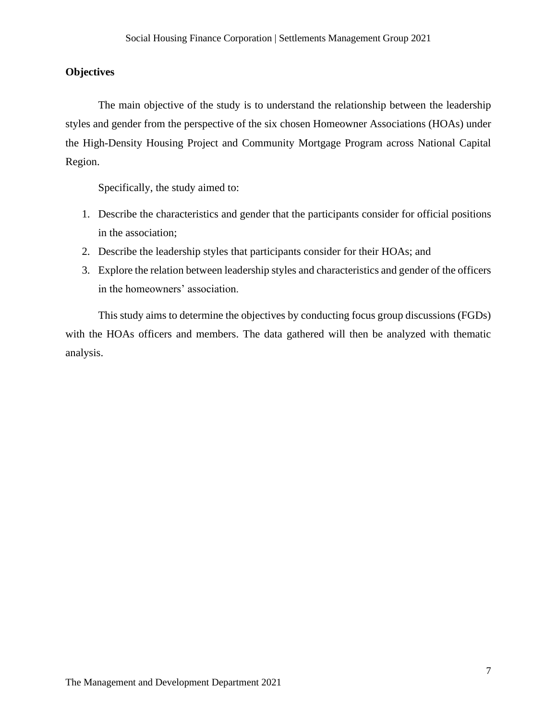#### <span id="page-7-0"></span>**Objectives**

The main objective of the study is to understand the relationship between the leadership styles and gender from the perspective of the six chosen Homeowner Associations (HOAs) under the High-Density Housing Project and Community Mortgage Program across National Capital Region.

Specifically, the study aimed to:

- 1. Describe the characteristics and gender that the participants consider for official positions in the association;
- 2. Describe the leadership styles that participants consider for their HOAs; and
- 3. Explore the relation between leadership styles and characteristics and gender of the officers in the homeowners' association.

This study aims to determine the objectives by conducting focus group discussions (FGDs) with the HOAs officers and members. The data gathered will then be analyzed with thematic analysis.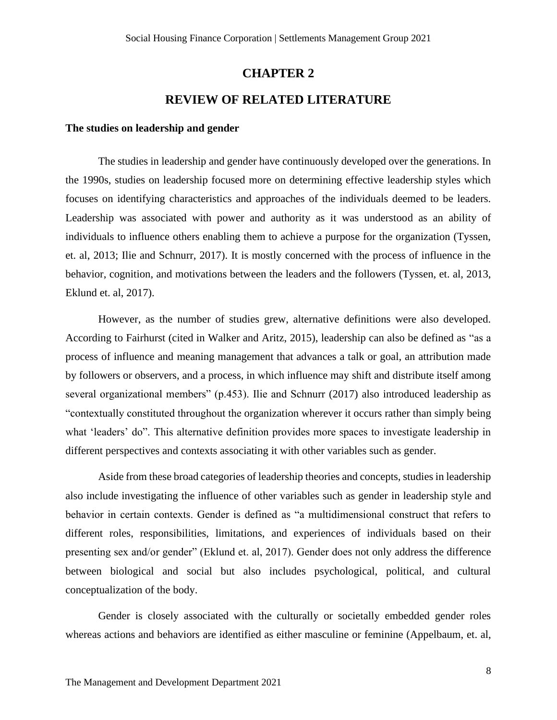# **CHAPTER 2**

## **REVIEW OF RELATED LITERATURE**

#### <span id="page-8-1"></span><span id="page-8-0"></span>**The studies on leadership and gender**

The studies in leadership and gender have continuously developed over the generations. In the 1990s, studies on leadership focused more on determining effective leadership styles which focuses on identifying characteristics and approaches of the individuals deemed to be leaders. Leadership was associated with power and authority as it was understood as an ability of individuals to influence others enabling them to achieve a purpose for the organization (Tyssen, et. al, 2013; Ilie and Schnurr, 2017). It is mostly concerned with the process of influence in the behavior, cognition, and motivations between the leaders and the followers (Tyssen, et. al, 2013, Eklund et. al, 2017).

However, as the number of studies grew, alternative definitions were also developed. According to Fairhurst (cited in Walker and Aritz, 2015), leadership can also be defined as "as a process of influence and meaning management that advances a talk or goal, an attribution made by followers or observers, and a process, in which influence may shift and distribute itself among several organizational members" (p.453). Ilie and Schnurr (2017) also introduced leadership as "contextually constituted throughout the organization wherever it occurs rather than simply being what 'leaders' do". This alternative definition provides more spaces to investigate leadership in different perspectives and contexts associating it with other variables such as gender.

Aside from these broad categories of leadership theories and concepts, studies in leadership also include investigating the influence of other variables such as gender in leadership style and behavior in certain contexts. Gender is defined as "a multidimensional construct that refers to different roles, responsibilities, limitations, and experiences of individuals based on their presenting sex and/or gender" (Eklund et. al, 2017). Gender does not only address the difference between biological and social but also includes psychological, political, and cultural conceptualization of the body.

Gender is closely associated with the culturally or societally embedded gender roles whereas actions and behaviors are identified as either masculine or feminine (Appelbaum, et. al,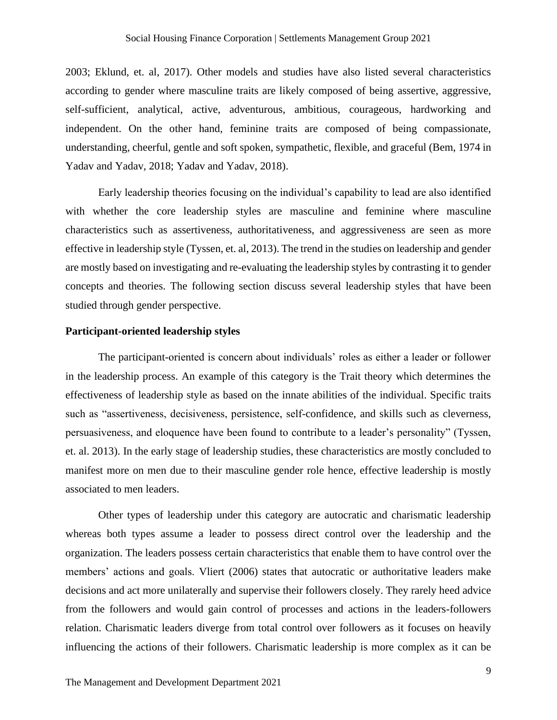2003; Eklund, et. al, 2017). Other models and studies have also listed several characteristics according to gender where masculine traits are likely composed of being assertive, aggressive, self-sufficient, analytical, active, adventurous, ambitious, courageous, hardworking and independent. On the other hand, feminine traits are composed of being compassionate, understanding, cheerful, gentle and soft spoken, sympathetic, flexible, and graceful (Bem, 1974 in Yadav and Yadav, 2018; Yadav and Yadav, 2018).

Early leadership theories focusing on the individual's capability to lead are also identified with whether the core leadership styles are masculine and feminine where masculine characteristics such as assertiveness, authoritativeness, and aggressiveness are seen as more effective in leadership style (Tyssen, et. al, 2013). The trend in the studies on leadership and gender are mostly based on investigating and re-evaluating the leadership styles by contrasting it to gender concepts and theories. The following section discuss several leadership styles that have been studied through gender perspective.

#### **Participant-oriented leadership styles**

The participant-oriented is concern about individuals' roles as either a leader or follower in the leadership process. An example of this category is the Trait theory which determines the effectiveness of leadership style as based on the innate abilities of the individual. Specific traits such as "assertiveness, decisiveness, persistence, self-confidence, and skills such as cleverness, persuasiveness, and eloquence have been found to contribute to a leader's personality" (Tyssen, et. al. 2013). In the early stage of leadership studies, these characteristics are mostly concluded to manifest more on men due to their masculine gender role hence, effective leadership is mostly associated to men leaders.

Other types of leadership under this category are autocratic and charismatic leadership whereas both types assume a leader to possess direct control over the leadership and the organization. The leaders possess certain characteristics that enable them to have control over the members' actions and goals. Vliert (2006) states that autocratic or authoritative leaders make decisions and act more unilaterally and supervise their followers closely. They rarely heed advice from the followers and would gain control of processes and actions in the leaders-followers relation. Charismatic leaders diverge from total control over followers as it focuses on heavily influencing the actions of their followers. Charismatic leadership is more complex as it can be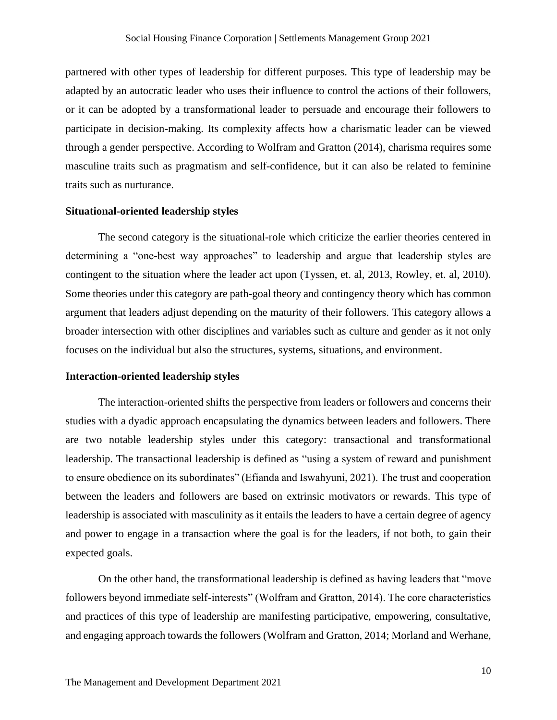partnered with other types of leadership for different purposes. This type of leadership may be adapted by an autocratic leader who uses their influence to control the actions of their followers, or it can be adopted by a transformational leader to persuade and encourage their followers to participate in decision-making. Its complexity affects how a charismatic leader can be viewed through a gender perspective. According to Wolfram and Gratton (2014), charisma requires some masculine traits such as pragmatism and self-confidence, but it can also be related to feminine traits such as nurturance.

#### **Situational-oriented leadership styles**

The second category is the situational-role which criticize the earlier theories centered in determining a "one-best way approaches" to leadership and argue that leadership styles are contingent to the situation where the leader act upon (Tyssen, et. al, 2013, Rowley, et. al, 2010). Some theories under this category are path-goal theory and contingency theory which has common argument that leaders adjust depending on the maturity of their followers. This category allows a broader intersection with other disciplines and variables such as culture and gender as it not only focuses on the individual but also the structures, systems, situations, and environment.

#### **Interaction-oriented leadership styles**

The interaction-oriented shifts the perspective from leaders or followers and concerns their studies with a dyadic approach encapsulating the dynamics between leaders and followers. There are two notable leadership styles under this category: transactional and transformational leadership. The transactional leadership is defined as "using a system of reward and punishment to ensure obedience on its subordinates" (Efianda and Iswahyuni, 2021). The trust and cooperation between the leaders and followers are based on extrinsic motivators or rewards. This type of leadership is associated with masculinity as it entails the leaders to have a certain degree of agency and power to engage in a transaction where the goal is for the leaders, if not both, to gain their expected goals.

On the other hand, the transformational leadership is defined as having leaders that "move followers beyond immediate self-interests" (Wolfram and Gratton, 2014). The core characteristics and practices of this type of leadership are manifesting participative, empowering, consultative, and engaging approach towards the followers (Wolfram and Gratton, 2014; Morland and Werhane,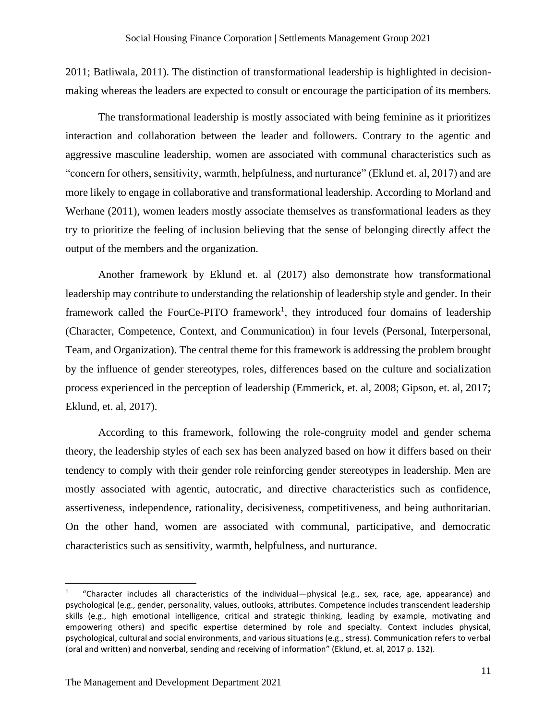2011; Batliwala, 2011). The distinction of transformational leadership is highlighted in decisionmaking whereas the leaders are expected to consult or encourage the participation of its members.

The transformational leadership is mostly associated with being feminine as it prioritizes interaction and collaboration between the leader and followers. Contrary to the agentic and aggressive masculine leadership, women are associated with communal characteristics such as "concern for others, sensitivity, warmth, helpfulness, and nurturance" (Eklund et. al, 2017) and are more likely to engage in collaborative and transformational leadership. According to Morland and Werhane (2011), women leaders mostly associate themselves as transformational leaders as they try to prioritize the feeling of inclusion believing that the sense of belonging directly affect the output of the members and the organization.

Another framework by Eklund et. al (2017) also demonstrate how transformational leadership may contribute to understanding the relationship of leadership style and gender. In their framework called the FourCe-PITO framework<sup>1</sup>, they introduced four domains of leadership (Character, Competence, Context, and Communication) in four levels (Personal, Interpersonal, Team, and Organization). The central theme for this framework is addressing the problem brought by the influence of gender stereotypes, roles, differences based on the culture and socialization process experienced in the perception of leadership (Emmerick, et. al, 2008; Gipson, et. al, 2017; Eklund, et. al, 2017).

According to this framework, following the role-congruity model and gender schema theory, the leadership styles of each sex has been analyzed based on how it differs based on their tendency to comply with their gender role reinforcing gender stereotypes in leadership. Men are mostly associated with agentic, autocratic, and directive characteristics such as confidence, assertiveness, independence, rationality, decisiveness, competitiveness, and being authoritarian. On the other hand, women are associated with communal, participative, and democratic characteristics such as sensitivity, warmth, helpfulness, and nurturance.

<sup>1</sup> "Character includes all characteristics of the individual—physical (e.g., sex, race, age, appearance) and psychological (e.g., gender, personality, values, outlooks, attributes. Competence includes transcendent leadership skills (e.g., high emotional intelligence, critical and strategic thinking, leading by example, motivating and empowering others) and specific expertise determined by role and specialty. Context includes physical, psychological, cultural and social environments, and various situations (e.g., stress). Communication refers to verbal (oral and written) and nonverbal, sending and receiving of information" (Eklund, et. al, 2017 p. 132).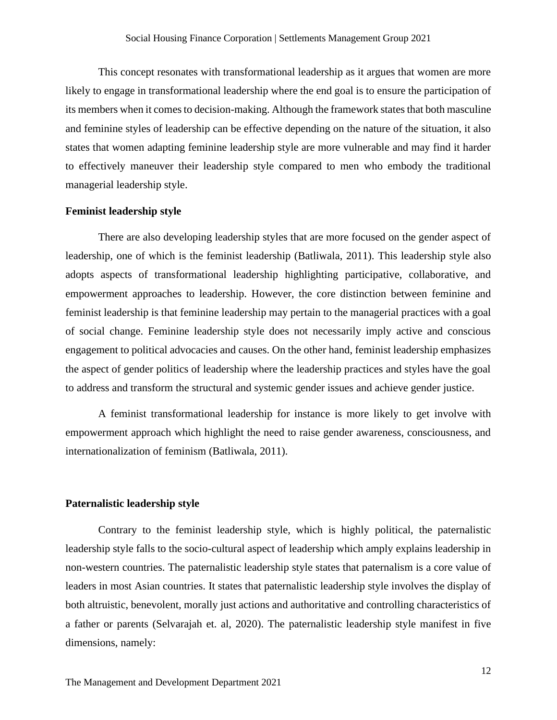This concept resonates with transformational leadership as it argues that women are more likely to engage in transformational leadership where the end goal is to ensure the participation of its members when it comes to decision-making. Although the framework states that both masculine and feminine styles of leadership can be effective depending on the nature of the situation, it also states that women adapting feminine leadership style are more vulnerable and may find it harder to effectively maneuver their leadership style compared to men who embody the traditional managerial leadership style.

#### **Feminist leadership style**

There are also developing leadership styles that are more focused on the gender aspect of leadership, one of which is the feminist leadership (Batliwala, 2011). This leadership style also adopts aspects of transformational leadership highlighting participative, collaborative, and empowerment approaches to leadership. However, the core distinction between feminine and feminist leadership is that feminine leadership may pertain to the managerial practices with a goal of social change. Feminine leadership style does not necessarily imply active and conscious engagement to political advocacies and causes. On the other hand, feminist leadership emphasizes the aspect of gender politics of leadership where the leadership practices and styles have the goal to address and transform the structural and systemic gender issues and achieve gender justice.

A feminist transformational leadership for instance is more likely to get involve with empowerment approach which highlight the need to raise gender awareness, consciousness, and internationalization of feminism (Batliwala, 2011).

#### **Paternalistic leadership style**

Contrary to the feminist leadership style, which is highly political, the paternalistic leadership style falls to the socio-cultural aspect of leadership which amply explains leadership in non-western countries. The paternalistic leadership style states that paternalism is a core value of leaders in most Asian countries. It states that paternalistic leadership style involves the display of both altruistic, benevolent, morally just actions and authoritative and controlling characteristics of a father or parents (Selvarajah et. al, 2020). The paternalistic leadership style manifest in five dimensions, namely: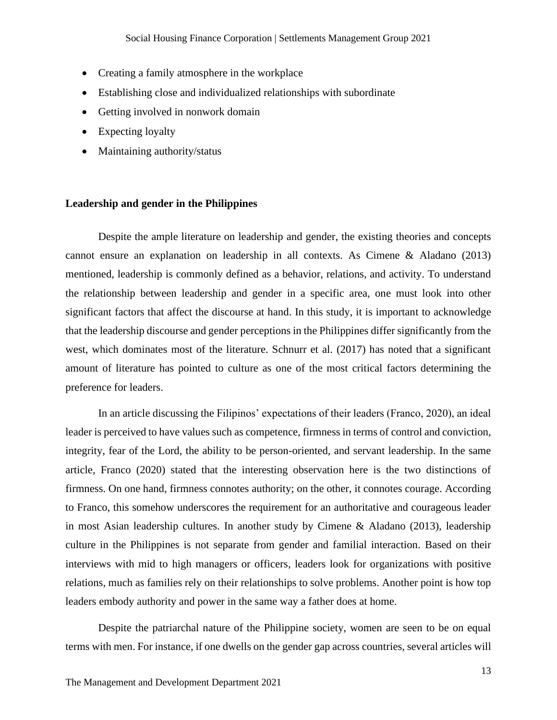- Creating a family atmosphere in the workplace
- Establishing close and individualized relationships with subordinate
- Getting involved in nonwork domain
- Expecting loyalty
- Maintaining authority/status

#### <span id="page-13-0"></span>**Leadership and gender in the Philippines**

Despite the ample literature on leadership and gender, the existing theories and concepts cannot ensure an explanation on leadership in all contexts. As Cimene & Aladano (2013) mentioned, leadership is commonly defined as a behavior, relations, and activity. To understand the relationship between leadership and gender in a specific area, one must look into other significant factors that affect the discourse at hand. In this study, it is important to acknowledge that the leadership discourse and gender perceptions in the Philippines differ significantly from the west, which dominates most of the literature. Schnurr et al. (2017) has noted that a significant amount of literature has pointed to culture as one of the most critical factors determining the preference for leaders.

In an article discussing the Filipinos' expectations of their leaders (Franco, 2020), an ideal leader is perceived to have values such as competence, firmness in terms of control and conviction, integrity, fear of the Lord, the ability to be person-oriented, and servant leadership. In the same article, Franco (2020) stated that the interesting observation here is the two distinctions of firmness. On one hand, firmness connotes authority; on the other, it connotes courage. According to Franco, this somehow underscores the requirement for an authoritative and courageous leader in most Asian leadership cultures. In another study by Cimene & Aladano (2013), leadership culture in the Philippines is not separate from gender and familial interaction. Based on their interviews with mid to high managers or officers, leaders look for organizations with positive relations, much as families rely on their relationships to solve problems. Another point is how top leaders embody authority and power in the same way a father does at home.

Despite the patriarchal nature of the Philippine society, women are seen to be on equal terms with men. For instance, if one dwells on the gender gap across countries, several articles will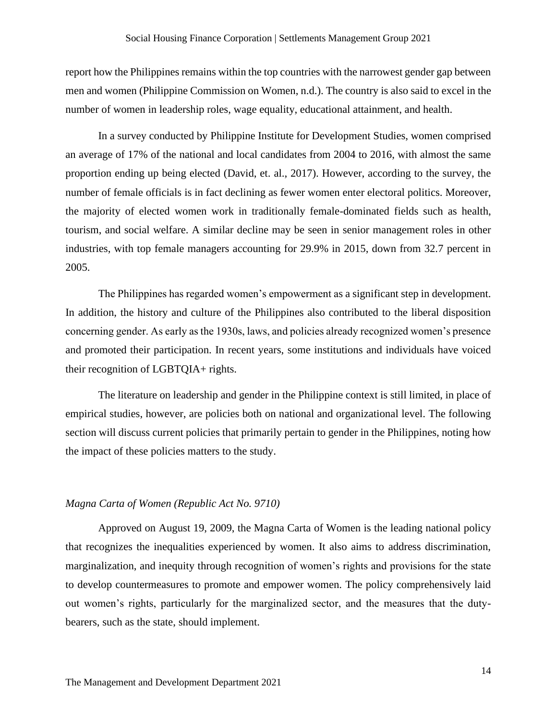report how the Philippines remains within the top countries with the narrowest gender gap between men and women (Philippine Commission on Women, n.d.). The country is also said to excel in the number of women in leadership roles, wage equality, educational attainment, and health.

In a survey conducted by Philippine Institute for Development Studies, women comprised an average of 17% of the national and local candidates from 2004 to 2016, with almost the same proportion ending up being elected (David, et. al., 2017). However, according to the survey, the number of female officials is in fact declining as fewer women enter electoral politics. Moreover, the majority of elected women work in traditionally female-dominated fields such as health, tourism, and social welfare. A similar decline may be seen in senior management roles in other industries, with top female managers accounting for 29.9% in 2015, down from 32.7 percent in 2005.

The Philippines has regarded women's empowerment as a significant step in development. In addition, the history and culture of the Philippines also contributed to the liberal disposition concerning gender. As early as the 1930s, laws, and policies already recognized women's presence and promoted their participation. In recent years, some institutions and individuals have voiced their recognition of LGBTQIA+ rights.

The literature on leadership and gender in the Philippine context is still limited, in place of empirical studies, however, are policies both on national and organizational level. The following section will discuss current policies that primarily pertain to gender in the Philippines, noting how the impact of these policies matters to the study.

#### <span id="page-14-0"></span>*Magna Carta of Women (Republic Act No. 9710)*

Approved on August 19, 2009, the Magna Carta of Women is the leading national policy that recognizes the inequalities experienced by women. It also aims to address discrimination, marginalization, and inequity through recognition of women's rights and provisions for the state to develop countermeasures to promote and empower women. The policy comprehensively laid out women's rights, particularly for the marginalized sector, and the measures that the dutybearers, such as the state, should implement.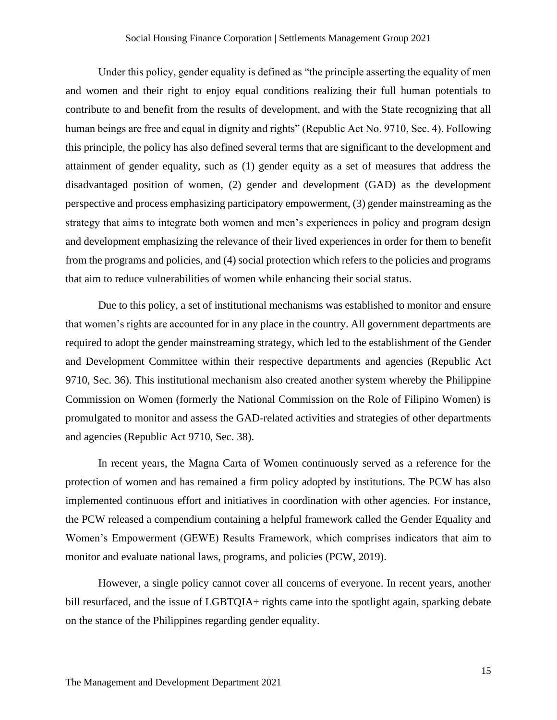Under this policy, gender equality is defined as "the principle asserting the equality of men and women and their right to enjoy equal conditions realizing their full human potentials to contribute to and benefit from the results of development, and with the State recognizing that all human beings are free and equal in dignity and rights" (Republic Act No. 9710, Sec. 4). Following this principle, the policy has also defined several terms that are significant to the development and attainment of gender equality, such as (1) gender equity as a set of measures that address the disadvantaged position of women, (2) gender and development (GAD) as the development perspective and process emphasizing participatory empowerment, (3) gender mainstreaming as the strategy that aims to integrate both women and men's experiences in policy and program design and development emphasizing the relevance of their lived experiences in order for them to benefit from the programs and policies, and (4) social protection which refers to the policies and programs that aim to reduce vulnerabilities of women while enhancing their social status.

Due to this policy, a set of institutional mechanisms was established to monitor and ensure that women's rights are accounted for in any place in the country. All government departments are required to adopt the gender mainstreaming strategy, which led to the establishment of the Gender and Development Committee within their respective departments and agencies (Republic Act 9710, Sec. 36). This institutional mechanism also created another system whereby the Philippine Commission on Women (formerly the National Commission on the Role of Filipino Women) is promulgated to monitor and assess the GAD-related activities and strategies of other departments and agencies (Republic Act 9710, Sec. 38).

In recent years, the Magna Carta of Women continuously served as a reference for the protection of women and has remained a firm policy adopted by institutions. The PCW has also implemented continuous effort and initiatives in coordination with other agencies. For instance, the PCW released a compendium containing a helpful framework called the Gender Equality and Women's Empowerment (GEWE) Results Framework, which comprises indicators that aim to monitor and evaluate national laws, programs, and policies (PCW, 2019).

However, a single policy cannot cover all concerns of everyone. In recent years, another bill resurfaced, and the issue of LGBTQIA+ rights came into the spotlight again, sparking debate on the stance of the Philippines regarding gender equality.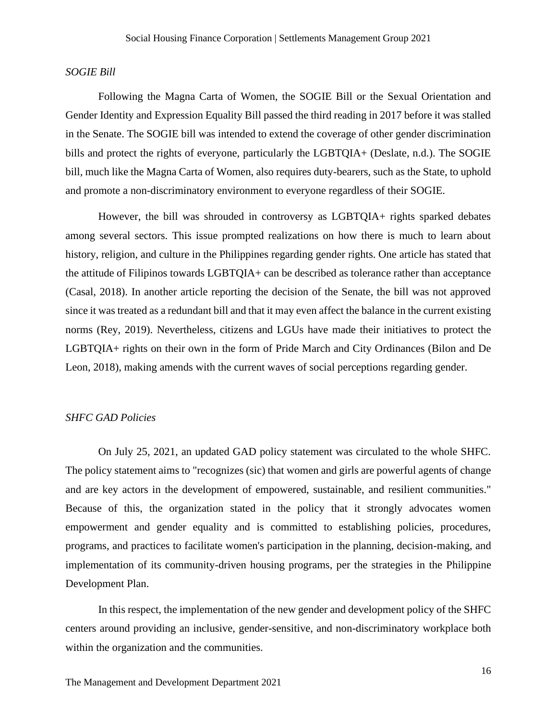#### <span id="page-16-0"></span>*SOGIE Bill*

Following the Magna Carta of Women, the SOGIE Bill or the Sexual Orientation and Gender Identity and Expression Equality Bill passed the third reading in 2017 before it was stalled in the Senate. The SOGIE bill was intended to extend the coverage of other gender discrimination bills and protect the rights of everyone, particularly the LGBTQIA+ (Deslate, n.d.). The SOGIE bill, much like the Magna Carta of Women, also requires duty-bearers, such as the State, to uphold and promote a non-discriminatory environment to everyone regardless of their SOGIE.

However, the bill was shrouded in controversy as LGBTQIA+ rights sparked debates among several sectors. This issue prompted realizations on how there is much to learn about history, religion, and culture in the Philippines regarding gender rights. One article has stated that the attitude of Filipinos towards LGBTQIA+ can be described as tolerance rather than acceptance (Casal, 2018). In another article reporting the decision of the Senate, the bill was not approved since it was treated as a redundant bill and that it may even affect the balance in the current existing norms (Rey, 2019). Nevertheless, citizens and LGUs have made their initiatives to protect the LGBTQIA+ rights on their own in the form of Pride March and City Ordinances (Bilon and De Leon, 2018), making amends with the current waves of social perceptions regarding gender.

#### <span id="page-16-1"></span>*SHFC GAD Policies*

On July 25, 2021, an updated GAD policy statement was circulated to the whole SHFC. The policy statement aims to "recognizes (sic) that women and girls are powerful agents of change and are key actors in the development of empowered, sustainable, and resilient communities." Because of this, the organization stated in the policy that it strongly advocates women empowerment and gender equality and is committed to establishing policies, procedures, programs, and practices to facilitate women's participation in the planning, decision-making, and implementation of its community-driven housing programs, per the strategies in the Philippine Development Plan.

In this respect, the implementation of the new gender and development policy of the SHFC centers around providing an inclusive, gender-sensitive, and non-discriminatory workplace both within the organization and the communities.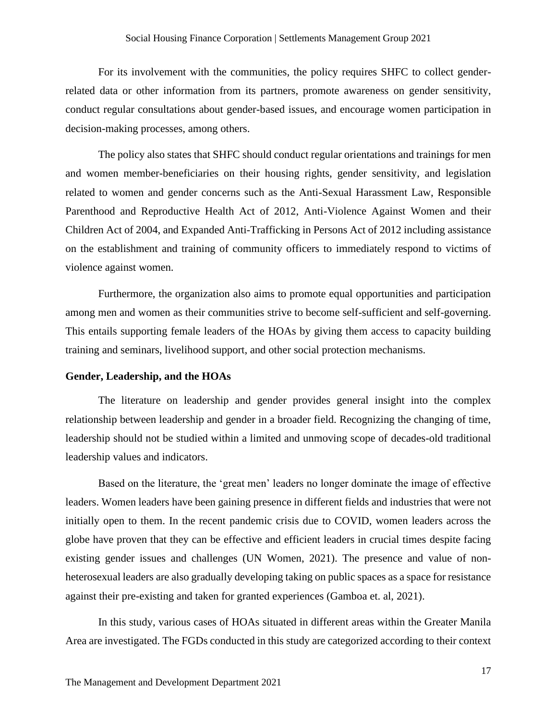For its involvement with the communities, the policy requires SHFC to collect genderrelated data or other information from its partners, promote awareness on gender sensitivity, conduct regular consultations about gender-based issues, and encourage women participation in decision-making processes, among others.

The policy also states that SHFC should conduct regular orientations and trainings for men and women member-beneficiaries on their housing rights, gender sensitivity, and legislation related to women and gender concerns such as the Anti-Sexual Harassment Law, Responsible Parenthood and Reproductive Health Act of 2012, Anti-Violence Against Women and their Children Act of 2004, and Expanded Anti-Trafficking in Persons Act of 2012 including assistance on the establishment and training of community officers to immediately respond to victims of violence against women.

Furthermore, the organization also aims to promote equal opportunities and participation among men and women as their communities strive to become self-sufficient and self-governing. This entails supporting female leaders of the HOAs by giving them access to capacity building training and seminars, livelihood support, and other social protection mechanisms.

#### <span id="page-17-0"></span>**Gender, Leadership, and the HOAs**

The literature on leadership and gender provides general insight into the complex relationship between leadership and gender in a broader field. Recognizing the changing of time, leadership should not be studied within a limited and unmoving scope of decades-old traditional leadership values and indicators.

Based on the literature, the 'great men' leaders no longer dominate the image of effective leaders. Women leaders have been gaining presence in different fields and industries that were not initially open to them. In the recent pandemic crisis due to COVID, women leaders across the globe have proven that they can be effective and efficient leaders in crucial times despite facing existing gender issues and challenges (UN Women, 2021). The presence and value of nonheterosexual leaders are also gradually developing taking on public spaces as a space for resistance against their pre-existing and taken for granted experiences (Gamboa et. al, 2021).

In this study, various cases of HOAs situated in different areas within the Greater Manila Area are investigated. The FGDs conducted in this study are categorized according to their context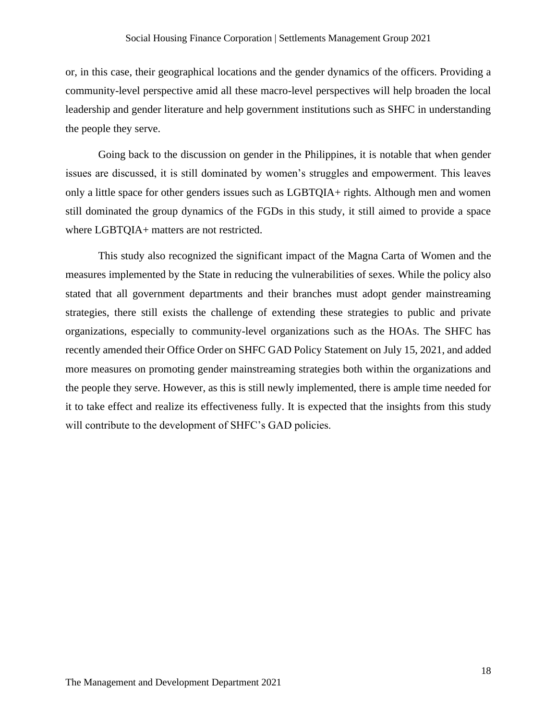or, in this case, their geographical locations and the gender dynamics of the officers. Providing a community-level perspective amid all these macro-level perspectives will help broaden the local leadership and gender literature and help government institutions such as SHFC in understanding the people they serve.

Going back to the discussion on gender in the Philippines, it is notable that when gender issues are discussed, it is still dominated by women's struggles and empowerment. This leaves only a little space for other genders issues such as LGBTQIA+ rights. Although men and women still dominated the group dynamics of the FGDs in this study, it still aimed to provide a space where LGBTQIA+ matters are not restricted.

This study also recognized the significant impact of the Magna Carta of Women and the measures implemented by the State in reducing the vulnerabilities of sexes. While the policy also stated that all government departments and their branches must adopt gender mainstreaming strategies, there still exists the challenge of extending these strategies to public and private organizations, especially to community-level organizations such as the HOAs. The SHFC has recently amended their Office Order on SHFC GAD Policy Statement on July 15, 2021, and added more measures on promoting gender mainstreaming strategies both within the organizations and the people they serve. However, as this is still newly implemented, there is ample time needed for it to take effect and realize its effectiveness fully. It is expected that the insights from this study will contribute to the development of SHFC's GAD policies.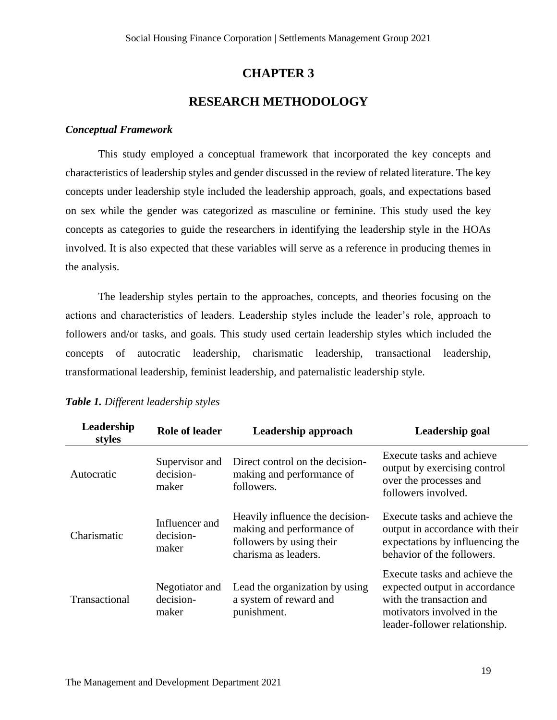## **CHAPTER 3**

## **RESEARCH METHODOLOGY**

#### <span id="page-19-1"></span><span id="page-19-0"></span>*Conceptual Framework*

This study employed a conceptual framework that incorporated the key concepts and characteristics of leadership styles and gender discussed in the review of related literature. The key concepts under leadership style included the leadership approach, goals, and expectations based on sex while the gender was categorized as masculine or feminine. This study used the key concepts as categories to guide the researchers in identifying the leadership style in the HOAs involved. It is also expected that these variables will serve as a reference in producing themes in the analysis.

The leadership styles pertain to the approaches, concepts, and theories focusing on the actions and characteristics of leaders. Leadership styles include the leader's role, approach to followers and/or tasks, and goals. This study used certain leadership styles which included the concepts of autocratic leadership, charismatic leadership, transactional leadership, transformational leadership, feminist leadership, and paternalistic leadership style.

| Leadership<br>styles | <b>Role of leader</b>                | Leadership approach                                                                                              | Leadership goal                                                                                                                                           |
|----------------------|--------------------------------------|------------------------------------------------------------------------------------------------------------------|-----------------------------------------------------------------------------------------------------------------------------------------------------------|
| Autocratic           | Supervisor and<br>decision-<br>maker | Direct control on the decision-<br>making and performance of<br>followers.                                       | Execute tasks and achieve<br>output by exercising control<br>over the processes and<br>followers involved.                                                |
| Charismatic          | Influencer and<br>decision-<br>maker | Heavily influence the decision-<br>making and performance of<br>followers by using their<br>charisma as leaders. | Execute tasks and achieve the<br>output in accordance with their<br>expectations by influencing the<br>behavior of the followers.                         |
| Transactional        | Negotiator and<br>decision-<br>maker | Lead the organization by using<br>a system of reward and<br>punishment.                                          | Execute tasks and achieve the<br>expected output in accordance<br>with the transaction and<br>motivators involved in the<br>leader-follower relationship. |

#### <span id="page-19-2"></span>*Table 1. Different leadership styles*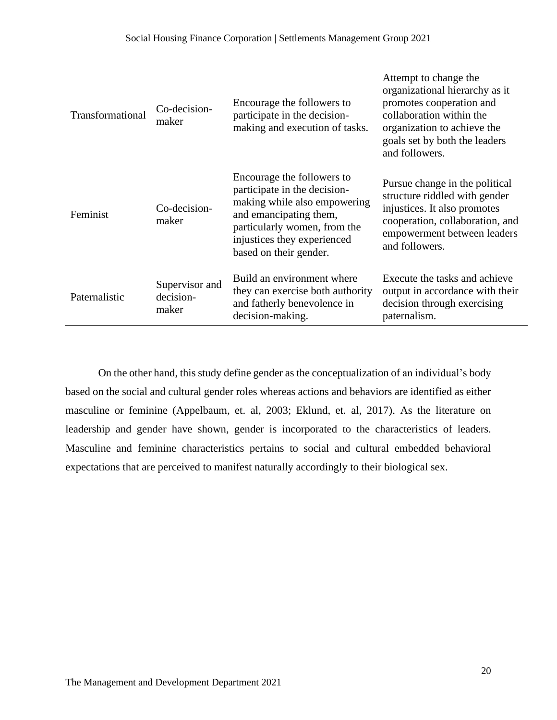| Transformational | Co-decision-<br>maker                | Encourage the followers to<br>participate in the decision-<br>making and execution of tasks.                                                                                                                  | Attempt to change the<br>organizational hierarchy as it<br>promotes cooperation and<br>collaboration within the<br>organization to achieve the<br>goals set by both the leaders<br>and followers. |
|------------------|--------------------------------------|---------------------------------------------------------------------------------------------------------------------------------------------------------------------------------------------------------------|---------------------------------------------------------------------------------------------------------------------------------------------------------------------------------------------------|
| Feminist         | Co-decision-<br>maker                | Encourage the followers to<br>participate in the decision-<br>making while also empowering<br>and emancipating them,<br>particularly women, from the<br>injustices they experienced<br>based on their gender. | Pursue change in the political<br>structure riddled with gender<br>injustices. It also promotes<br>cooperation, collaboration, and<br>empowerment between leaders<br>and followers.               |
| Paternalistic    | Supervisor and<br>decision-<br>maker | Build an environment where<br>they can exercise both authority<br>and fatherly benevolence in<br>decision-making.                                                                                             | Execute the tasks and achieve<br>output in accordance with their<br>decision through exercising<br>paternalism.                                                                                   |

On the other hand, this study define gender as the conceptualization of an individual's body based on the social and cultural gender roles whereas actions and behaviors are identified as either masculine or feminine (Appelbaum, et. al, 2003; Eklund, et. al, 2017). As the literature on leadership and gender have shown, gender is incorporated to the characteristics of leaders. Masculine and feminine characteristics pertains to social and cultural embedded behavioral expectations that are perceived to manifest naturally accordingly to their biological sex.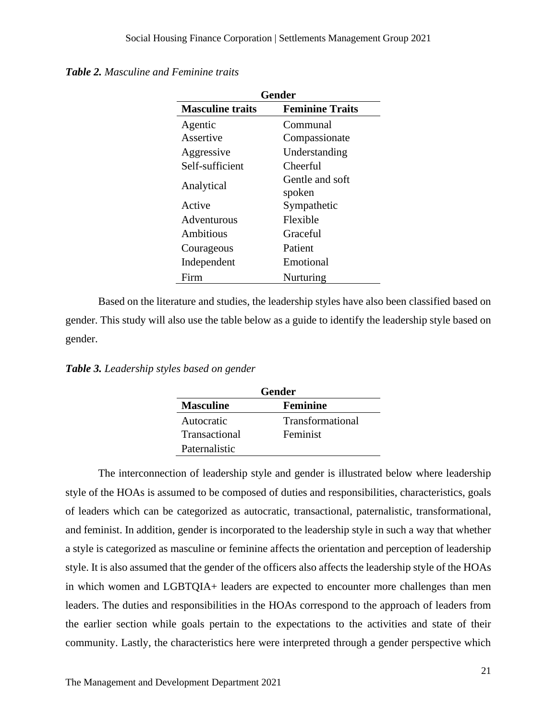<span id="page-21-0"></span>

|  |  | <b>Table 2.</b> Masculine and Feminine traits |  |
|--|--|-----------------------------------------------|--|
|--|--|-----------------------------------------------|--|

| <b>Gender</b>           |                           |  |  |
|-------------------------|---------------------------|--|--|
| <b>Masculine traits</b> | <b>Feminine Traits</b>    |  |  |
| Agentic                 | Communal                  |  |  |
| Assertive               | Compassionate             |  |  |
| Aggressive              | Understanding             |  |  |
| Self-sufficient         | Cheerful                  |  |  |
| Analytical              | Gentle and soft<br>spoken |  |  |
| Active                  | Sympathetic               |  |  |
| Adventurous             | Flexible                  |  |  |
| Ambitious               | Graceful                  |  |  |
| Courageous              | Patient                   |  |  |
| Independent             | Emotional                 |  |  |
| Firm                    | Nurturing                 |  |  |

Based on the literature and studies, the leadership styles have also been classified based on gender. This study will also use the table below as a guide to identify the leadership style based on gender.

<span id="page-21-1"></span>*Table 3. Leadership styles based on gender*

| Gender           |                         |  |
|------------------|-------------------------|--|
| <b>Masculine</b> | Feminine                |  |
| Autocratic       | <b>Transformational</b> |  |
| Transactional    | Feminist                |  |
| Paternalistic    |                         |  |

The interconnection of leadership style and gender is illustrated below where leadership style of the HOAs is assumed to be composed of duties and responsibilities, characteristics, goals of leaders which can be categorized as autocratic, transactional, paternalistic, transformational, and feminist. In addition, gender is incorporated to the leadership style in such a way that whether a style is categorized as masculine or feminine affects the orientation and perception of leadership style. It is also assumed that the gender of the officers also affects the leadership style of the HOAs in which women and LGBTQIA+ leaders are expected to encounter more challenges than men leaders. The duties and responsibilities in the HOAs correspond to the approach of leaders from the earlier section while goals pertain to the expectations to the activities and state of their community. Lastly, the characteristics here were interpreted through a gender perspective which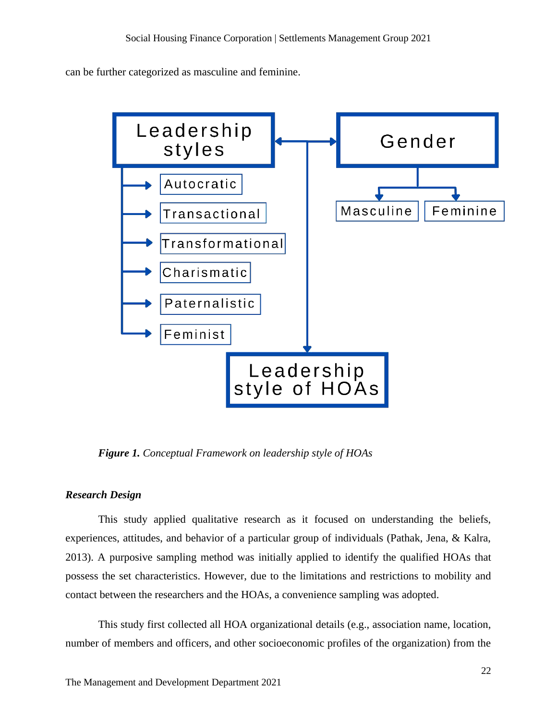can be further categorized as masculine and feminine.



<span id="page-22-1"></span>*Figure 1. Conceptual Framework on leadership style of HOAs*

#### <span id="page-22-0"></span>*Research Design*

This study applied qualitative research as it focused on understanding the beliefs, experiences, attitudes, and behavior of a particular group of individuals (Pathak, Jena, & Kalra, 2013). A purposive sampling method was initially applied to identify the qualified HOAs that possess the set characteristics. However, due to the limitations and restrictions to mobility and contact between the researchers and the HOAs, a convenience sampling was adopted.

This study first collected all HOA organizational details (e.g., association name, location, number of members and officers, and other socioeconomic profiles of the organization) from the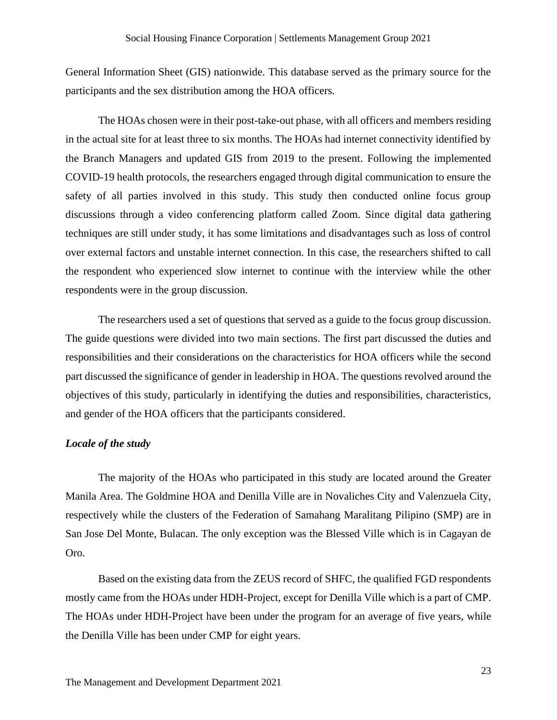General Information Sheet (GIS) nationwide. This database served as the primary source for the participants and the sex distribution among the HOA officers.

The HOAs chosen were in their post-take-out phase, with all officers and members residing in the actual site for at least three to six months. The HOAs had internet connectivity identified by the Branch Managers and updated GIS from 2019 to the present. Following the implemented COVID-19 health protocols, the researchers engaged through digital communication to ensure the safety of all parties involved in this study. This study then conducted online focus group discussions through a video conferencing platform called Zoom. Since digital data gathering techniques are still under study, it has some limitations and disadvantages such as loss of control over external factors and unstable internet connection. In this case, the researchers shifted to call the respondent who experienced slow internet to continue with the interview while the other respondents were in the group discussion.

The researchers used a set of questions that served as a guide to the focus group discussion. The guide questions were divided into two main sections. The first part discussed the duties and responsibilities and their considerations on the characteristics for HOA officers while the second part discussed the significance of gender in leadership in HOA. The questions revolved around the objectives of this study, particularly in identifying the duties and responsibilities, characteristics, and gender of the HOA officers that the participants considered.

#### <span id="page-23-0"></span>*Locale of the study*

The majority of the HOAs who participated in this study are located around the Greater Manila Area. The Goldmine HOA and Denilla Ville are in Novaliches City and Valenzuela City, respectively while the clusters of the Federation of Samahang Maralitang Pilipino (SMP) are in San Jose Del Monte, Bulacan. The only exception was the Blessed Ville which is in Cagayan de Oro.

Based on the existing data from the ZEUS record of SHFC, the qualified FGD respondents mostly came from the HOAs under HDH-Project, except for Denilla Ville which is a part of CMP. The HOAs under HDH-Project have been under the program for an average of five years, while the Denilla Ville has been under CMP for eight years.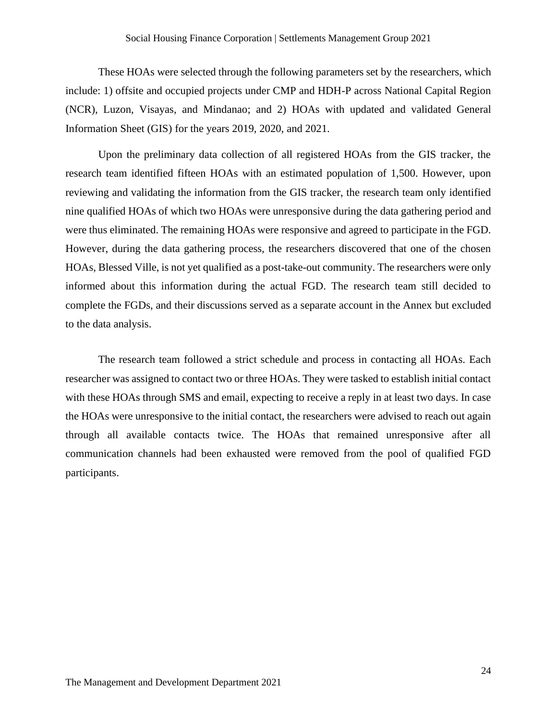These HOAs were selected through the following parameters set by the researchers, which include: 1) offsite and occupied projects under CMP and HDH-P across National Capital Region (NCR), Luzon, Visayas, and Mindanao; and 2) HOAs with updated and validated General Information Sheet (GIS) for the years 2019, 2020, and 2021.

Upon the preliminary data collection of all registered HOAs from the GIS tracker, the research team identified fifteen HOAs with an estimated population of 1,500. However, upon reviewing and validating the information from the GIS tracker, the research team only identified nine qualified HOAs of which two HOAs were unresponsive during the data gathering period and were thus eliminated. The remaining HOAs were responsive and agreed to participate in the FGD. However, during the data gathering process, the researchers discovered that one of the chosen HOAs, Blessed Ville, is not yet qualified as a post-take-out community. The researchers were only informed about this information during the actual FGD. The research team still decided to complete the FGDs, and their discussions served as a separate account in the Annex but excluded to the data analysis.

The research team followed a strict schedule and process in contacting all HOAs. Each researcher was assigned to contact two or three HOAs. They were tasked to establish initial contact with these HOAs through SMS and email, expecting to receive a reply in at least two days. In case the HOAs were unresponsive to the initial contact, the researchers were advised to reach out again through all available contacts twice. The HOAs that remained unresponsive after all communication channels had been exhausted were removed from the pool of qualified FGD participants.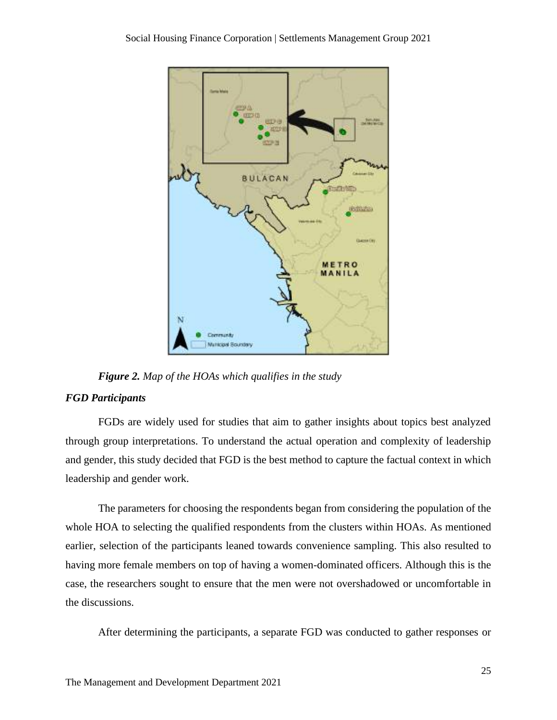

*Figure 2. Map of the HOAs which qualifies in the study*

#### <span id="page-25-1"></span><span id="page-25-0"></span>*FGD Participants*

FGDs are widely used for studies that aim to gather insights about topics best analyzed through group interpretations. To understand the actual operation and complexity of leadership and gender, this study decided that FGD is the best method to capture the factual context in which leadership and gender work.

The parameters for choosing the respondents began from considering the population of the whole HOA to selecting the qualified respondents from the clusters within HOAs. As mentioned earlier, selection of the participants leaned towards convenience sampling. This also resulted to having more female members on top of having a women-dominated officers. Although this is the case, the researchers sought to ensure that the men were not overshadowed or uncomfortable in the discussions.

After determining the participants, a separate FGD was conducted to gather responses or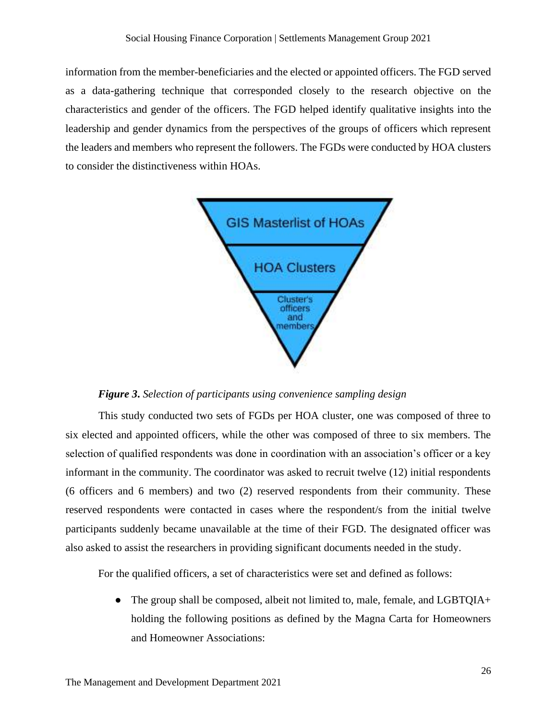information from the member-beneficiaries and the elected or appointed officers. The FGD served as a data-gathering technique that corresponded closely to the research objective on the characteristics and gender of the officers. The FGD helped identify qualitative insights into the leadership and gender dynamics from the perspectives of the groups of officers which represent the leaders and members who represent the followers. The FGDs were conducted by HOA clusters to consider the distinctiveness within HOAs.



*Figure 3***.** *Selection of participants using convenience sampling design*

<span id="page-26-0"></span>This study conducted two sets of FGDs per HOA cluster, one was composed of three to six elected and appointed officers, while the other was composed of three to six members. The selection of qualified respondents was done in coordination with an association's officer or a key informant in the community. The coordinator was asked to recruit twelve (12) initial respondents (6 officers and 6 members) and two (2) reserved respondents from their community. These reserved respondents were contacted in cases where the respondent/s from the initial twelve participants suddenly became unavailable at the time of their FGD. The designated officer was also asked to assist the researchers in providing significant documents needed in the study.

For the qualified officers, a set of characteristics were set and defined as follows:

• The group shall be composed, albeit not limited to, male, female, and LGBTQIA+ holding the following positions as defined by the Magna Carta for Homeowners and Homeowner Associations: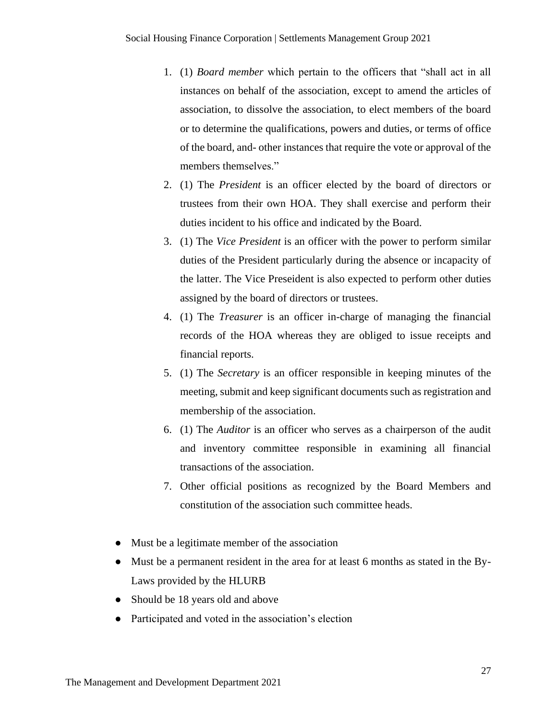- 1. (1) *Board member* which pertain to the officers that "shall act in all instances on behalf of the association, except to amend the articles of association, to dissolve the association, to elect members of the board or to determine the qualifications, powers and duties, or terms of office of the board, and- other instances that require the vote or approval of the members themselves."
- 2. (1) The *President* is an officer elected by the board of directors or trustees from their own HOA. They shall exercise and perform their duties incident to his office and indicated by the Board.
- 3. (1) The *Vice President* is an officer with the power to perform similar duties of the President particularly during the absence or incapacity of the latter. The Vice Preseident is also expected to perform other duties assigned by the board of directors or trustees.
- 4. (1) The *Treasurer* is an officer in-charge of managing the financial records of the HOA whereas they are obliged to issue receipts and financial reports.
- 5. (1) The *Secretary* is an officer responsible in keeping minutes of the meeting, submit and keep significant documents such as registration and membership of the association.
- 6. (1) The *Auditor* is an officer who serves as a chairperson of the audit and inventory committee responsible in examining all financial transactions of the association.
- 7. Other official positions as recognized by the Board Members and constitution of the association such committee heads.
- Must be a legitimate member of the association
- Must be a permanent resident in the area for at least 6 months as stated in the By-Laws provided by the HLURB
- Should be 18 years old and above
- Participated and voted in the association's election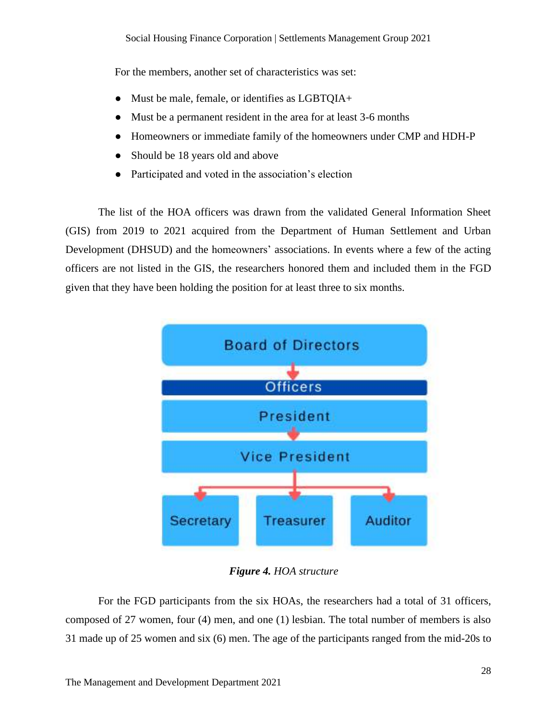For the members, another set of characteristics was set:

- Must be male, female, or identifies as LGBTOIA+
- Must be a permanent resident in the area for at least 3-6 months
- Homeowners or immediate family of the homeowners under CMP and HDH-P
- Should be 18 years old and above
- Participated and voted in the association's election

The list of the HOA officers was drawn from the validated General Information Sheet (GIS) from 2019 to 2021 acquired from the Department of Human Settlement and Urban Development (DHSUD) and the homeowners' associations. In events where a few of the acting officers are not listed in the GIS, the researchers honored them and included them in the FGD given that they have been holding the position for at least three to six months.



*Figure 4. HOA structure*

<span id="page-28-0"></span>For the FGD participants from the six HOAs, the researchers had a total of 31 officers, composed of 27 women, four (4) men, and one (1) lesbian. The total number of members is also 31 made up of 25 women and six (6) men. The age of the participants ranged from the mid-20s to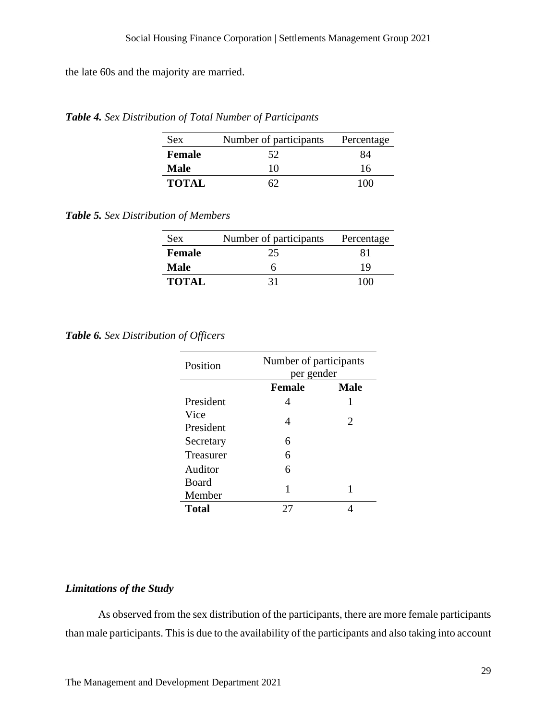the late 60s and the majority are married.

<span id="page-29-1"></span>*Table 4. Sex Distribution of Total Number of Participants*

| <b>Sex</b>   | Number of participants | Percentage |
|--------------|------------------------|------------|
| Female       | 52                     | 84         |
| Male         | 10                     | 16         |
| <b>TOTAL</b> | 62                     | 100        |

<span id="page-29-2"></span>*Table 5. Sex Distribution of Members*

| <b>Sex</b>    | Number of participants | Percentage |
|---------------|------------------------|------------|
| <b>Female</b> | 25                     | 81         |
| Male          | n                      | 19         |
| <b>TOTAL</b>  | 31                     | 100        |

<span id="page-29-3"></span>*Table 6. Sex Distribution of Officers*

| Position          | Number of participants<br>per gender |                             |
|-------------------|--------------------------------------|-----------------------------|
|                   | <b>Female</b>                        | <b>Male</b>                 |
| President         | 4                                    | 1                           |
| Vice<br>President | 4                                    | $\mathcal{D}_{\mathcal{L}}$ |
| Secretary         | 6                                    |                             |
| Treasurer         | 6                                    |                             |
| Auditor           | 6                                    |                             |
| Board<br>Member   | 1                                    |                             |
| Total             |                                      |                             |

#### <span id="page-29-0"></span>*Limitations of the Study*

As observed from the sex distribution of the participants, there are more female participants than male participants. This is due to the availability of the participants and also taking into account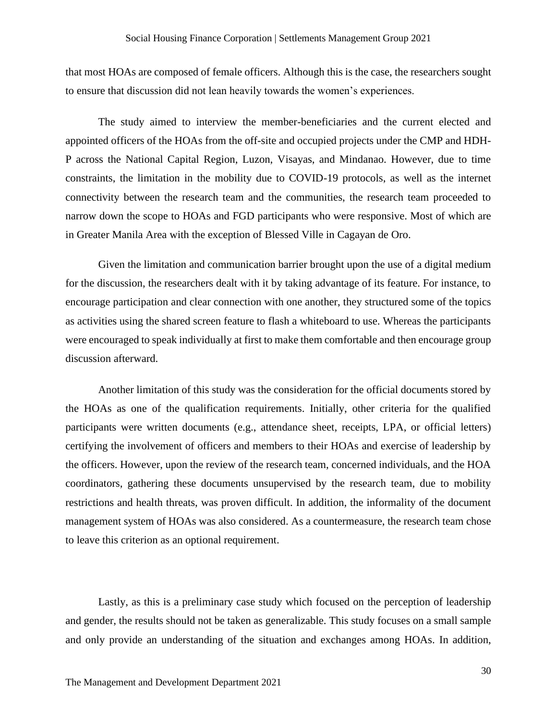that most HOAs are composed of female officers. Although this is the case, the researchers sought to ensure that discussion did not lean heavily towards the women's experiences.

The study aimed to interview the member-beneficiaries and the current elected and appointed officers of the HOAs from the off-site and occupied projects under the CMP and HDH-P across the National Capital Region, Luzon, Visayas, and Mindanao. However, due to time constraints, the limitation in the mobility due to COVID-19 protocols, as well as the internet connectivity between the research team and the communities, the research team proceeded to narrow down the scope to HOAs and FGD participants who were responsive. Most of which are in Greater Manila Area with the exception of Blessed Ville in Cagayan de Oro.

Given the limitation and communication barrier brought upon the use of a digital medium for the discussion, the researchers dealt with it by taking advantage of its feature. For instance, to encourage participation and clear connection with one another, they structured some of the topics as activities using the shared screen feature to flash a whiteboard to use. Whereas the participants were encouraged to speak individually at first to make them comfortable and then encourage group discussion afterward.

Another limitation of this study was the consideration for the official documents stored by the HOAs as one of the qualification requirements. Initially, other criteria for the qualified participants were written documents (e.g., attendance sheet, receipts, LPA, or official letters) certifying the involvement of officers and members to their HOAs and exercise of leadership by the officers. However, upon the review of the research team, concerned individuals, and the HOA coordinators, gathering these documents unsupervised by the research team, due to mobility restrictions and health threats, was proven difficult. In addition, the informality of the document management system of HOAs was also considered. As a countermeasure, the research team chose to leave this criterion as an optional requirement.

Lastly, as this is a preliminary case study which focused on the perception of leadership and gender, the results should not be taken as generalizable. This study focuses on a small sample and only provide an understanding of the situation and exchanges among HOAs. In addition,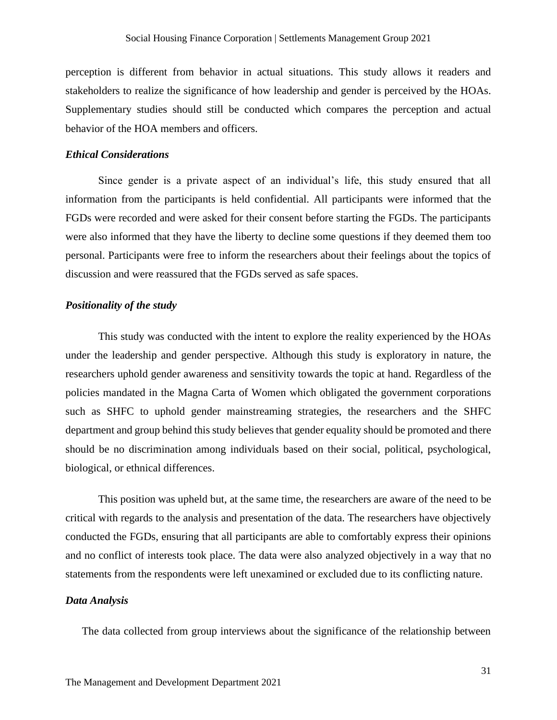perception is different from behavior in actual situations. This study allows it readers and stakeholders to realize the significance of how leadership and gender is perceived by the HOAs. Supplementary studies should still be conducted which compares the perception and actual behavior of the HOA members and officers.

#### <span id="page-31-0"></span>*Ethical Considerations*

Since gender is a private aspect of an individual's life, this study ensured that all information from the participants is held confidential. All participants were informed that the FGDs were recorded and were asked for their consent before starting the FGDs. The participants were also informed that they have the liberty to decline some questions if they deemed them too personal. Participants were free to inform the researchers about their feelings about the topics of discussion and were reassured that the FGDs served as safe spaces.

#### *Positionality of the study*

This study was conducted with the intent to explore the reality experienced by the HOAs under the leadership and gender perspective. Although this study is exploratory in nature, the researchers uphold gender awareness and sensitivity towards the topic at hand. Regardless of the policies mandated in the Magna Carta of Women which obligated the government corporations such as SHFC to uphold gender mainstreaming strategies, the researchers and the SHFC department and group behind this study believes that gender equality should be promoted and there should be no discrimination among individuals based on their social, political, psychological, biological, or ethnical differences.

This position was upheld but, at the same time, the researchers are aware of the need to be critical with regards to the analysis and presentation of the data. The researchers have objectively conducted the FGDs, ensuring that all participants are able to comfortably express their opinions and no conflict of interests took place. The data were also analyzed objectively in a way that no statements from the respondents were left unexamined or excluded due to its conflicting nature.

#### <span id="page-31-1"></span>*Data Analysis*

The data collected from group interviews about the significance of the relationship between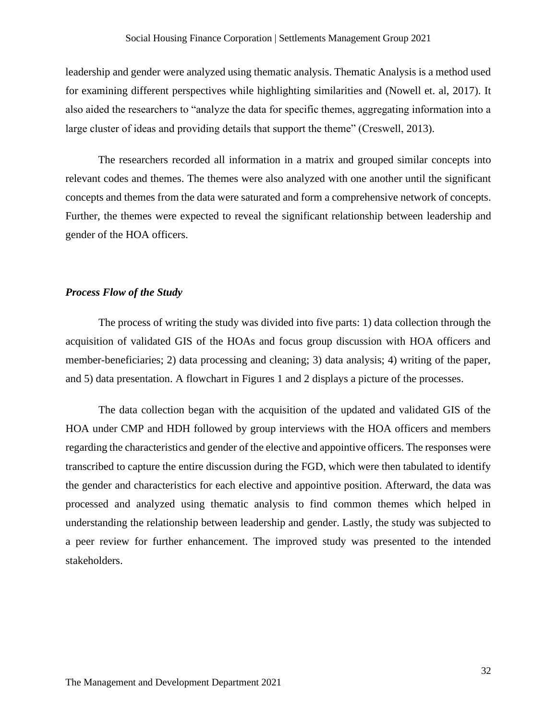leadership and gender were analyzed using thematic analysis. Thematic Analysis is a method used for examining different perspectives while highlighting similarities and (Nowell et. al, 2017). It also aided the researchers to "analyze the data for specific themes, aggregating information into a large cluster of ideas and providing details that support the theme" (Creswell, 2013).

The researchers recorded all information in a matrix and grouped similar concepts into relevant codes and themes. The themes were also analyzed with one another until the significant concepts and themes from the data were saturated and form a comprehensive network of concepts. Further, the themes were expected to reveal the significant relationship between leadership and gender of the HOA officers.

#### <span id="page-32-0"></span>*Process Flow of the Study*

The process of writing the study was divided into five parts: 1) data collection through the acquisition of validated GIS of the HOAs and focus group discussion with HOA officers and member-beneficiaries; 2) data processing and cleaning; 3) data analysis; 4) writing of the paper, and 5) data presentation. A flowchart in Figures 1 and 2 displays a picture of the processes.

The data collection began with the acquisition of the updated and validated GIS of the HOA under CMP and HDH followed by group interviews with the HOA officers and members regarding the characteristics and gender of the elective and appointive officers. The responses were transcribed to capture the entire discussion during the FGD, which were then tabulated to identify the gender and characteristics for each elective and appointive position. Afterward, the data was processed and analyzed using thematic analysis to find common themes which helped in understanding the relationship between leadership and gender. Lastly, the study was subjected to a peer review for further enhancement. The improved study was presented to the intended stakeholders.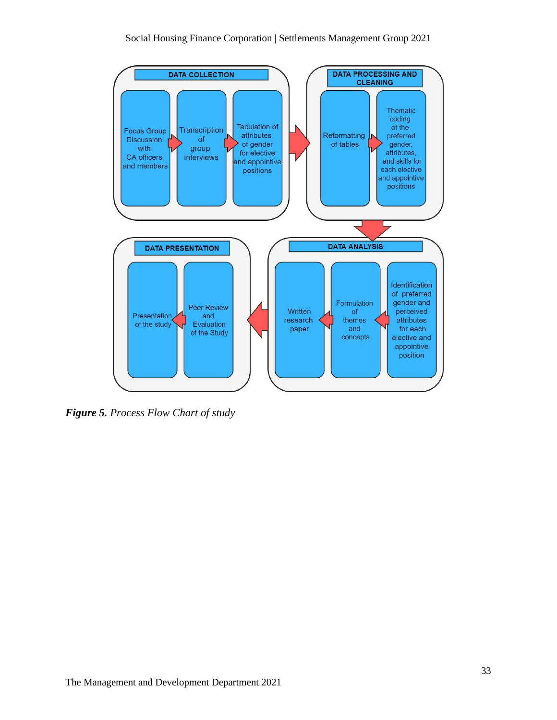

<span id="page-33-0"></span>*Figure 5. Process Flow Chart of study*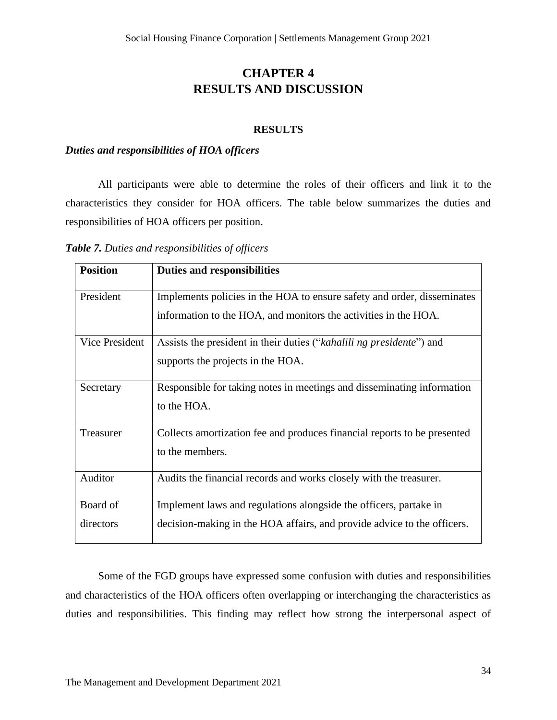# **CHAPTER 4 RESULTS AND DISCUSSION**

#### **RESULTS**

#### <span id="page-34-1"></span><span id="page-34-0"></span>*Duties and responsibilities of HOA officers*

All participants were able to determine the roles of their officers and link it to the characteristics they consider for HOA officers. The table below summarizes the duties and responsibilities of HOA officers per position.

<span id="page-34-2"></span>*Table 7. Duties and responsibilities of officers*

| <b>Position</b> | <b>Duties and responsibilities</b>                                       |
|-----------------|--------------------------------------------------------------------------|
| President       | Implements policies in the HOA to ensure safety and order, disseminates  |
|                 | information to the HOA, and monitors the activities in the HOA.          |
| Vice President  | Assists the president in their duties ("kahalili ng presidente") and     |
|                 | supports the projects in the HOA.                                        |
| Secretary       | Responsible for taking notes in meetings and disseminating information   |
|                 | to the HOA.                                                              |
| Treasurer       | Collects amortization fee and produces financial reports to be presented |
|                 | to the members.                                                          |
| Auditor         | Audits the financial records and works closely with the treasurer.       |
| Board of        | Implement laws and regulations alongside the officers, partake in        |
| directors       | decision-making in the HOA affairs, and provide advice to the officers.  |

Some of the FGD groups have expressed some confusion with duties and responsibilities and characteristics of the HOA officers often overlapping or interchanging the characteristics as duties and responsibilities. This finding may reflect how strong the interpersonal aspect of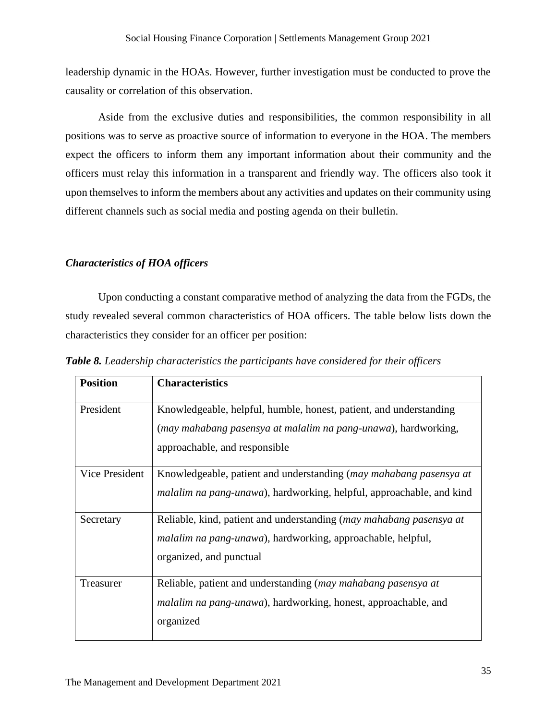leadership dynamic in the HOAs. However, further investigation must be conducted to prove the causality or correlation of this observation.

Aside from the exclusive duties and responsibilities, the common responsibility in all positions was to serve as proactive source of information to everyone in the HOA. The members expect the officers to inform them any important information about their community and the officers must relay this information in a transparent and friendly way. The officers also took it upon themselves to inform the members about any activities and updates on their community using different channels such as social media and posting agenda on their bulletin.

#### <span id="page-35-0"></span>*Characteristics of HOA officers*

Upon conducting a constant comparative method of analyzing the data from the FGDs, the study revealed several common characteristics of HOA officers. The table below lists down the characteristics they consider for an officer per position:

| <b>Position</b> | <b>Characteristics</b>                                                                                                                                                |
|-----------------|-----------------------------------------------------------------------------------------------------------------------------------------------------------------------|
| President       | Knowledgeable, helpful, humble, honest, patient, and understanding<br>(may mahabang pasensya at malalim na pang-unawa), hardworking,<br>approachable, and responsible |
| Vice President  | Knowledgeable, patient and understanding (may mahabang pasensya at<br><i>malalim na pang-unawa</i> ), hardworking, helpful, approachable, and kind                    |
| Secretary       | Reliable, kind, patient and understanding (may mahabang pasensya at<br><i>malalim na pang-unawa</i> ), hardworking, approachable, helpful,<br>organized, and punctual |
| Treasurer       | Reliable, patient and understanding (may mahabang pasensya at<br><i>malalim na pang-unawa</i> ), hardworking, honest, approachable, and<br>organized                  |

<span id="page-35-1"></span>*Table 8. Leadership characteristics the participants have considered for their officers*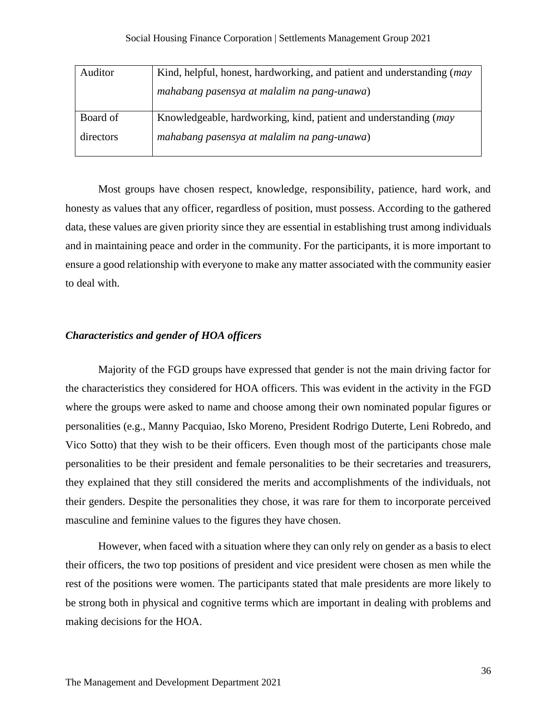| Auditor   | Kind, helpful, honest, hardworking, and patient and understanding (may |
|-----------|------------------------------------------------------------------------|
|           | mahabang pasensya at malalim na pang-unawa)                            |
|           |                                                                        |
| Board of  | Knowledgeable, hardworking, kind, patient and understanding (may       |
| directors | mahabang pasensya at malalim na pang-unawa)                            |
|           |                                                                        |

Most groups have chosen respect, knowledge, responsibility, patience, hard work, and honesty as values that any officer, regardless of position, must possess. According to the gathered data, these values are given priority since they are essential in establishing trust among individuals and in maintaining peace and order in the community. For the participants, it is more important to ensure a good relationship with everyone to make any matter associated with the community easier to deal with.

#### <span id="page-36-0"></span>*Characteristics and gender of HOA officers*

Majority of the FGD groups have expressed that gender is not the main driving factor for the characteristics they considered for HOA officers. This was evident in the activity in the FGD where the groups were asked to name and choose among their own nominated popular figures or personalities (e.g., Manny Pacquiao, Isko Moreno, President Rodrigo Duterte, Leni Robredo, and Vico Sotto) that they wish to be their officers. Even though most of the participants chose male personalities to be their president and female personalities to be their secretaries and treasurers, they explained that they still considered the merits and accomplishments of the individuals, not their genders. Despite the personalities they chose, it was rare for them to incorporate perceived masculine and feminine values to the figures they have chosen.

However, when faced with a situation where they can only rely on gender as a basis to elect their officers, the two top positions of president and vice president were chosen as men while the rest of the positions were women. The participants stated that male presidents are more likely to be strong both in physical and cognitive terms which are important in dealing with problems and making decisions for the HOA.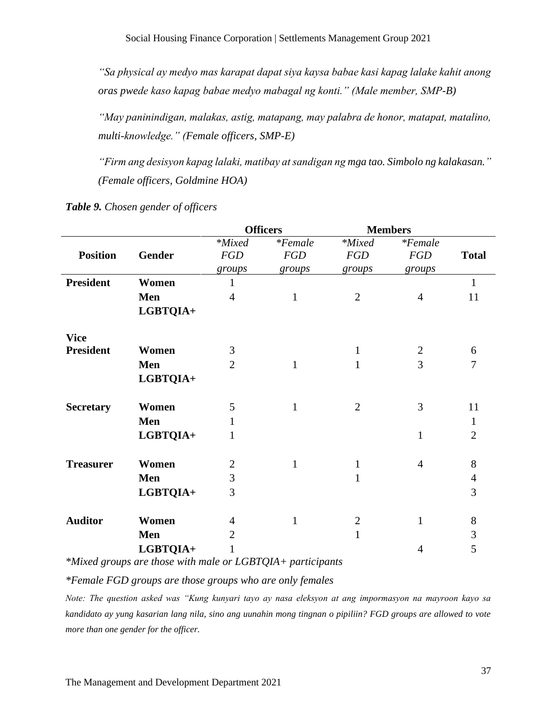*"Sa physical ay medyo mas karapat dapat siya kaysa babae kasi kapag lalake kahit anong oras pwede kaso kapag babae medyo mabagal ng konti." (Male member, SMP-B)*

*"May paninindigan, malakas, astig, matapang, may palabra de honor, matapat, matalino, multi-knowledge." (Female officers, SMP-E)*

*"Firm ang desisyon kapag lalaki, matibay at sandigan ng mga tao. Simbolo ng kalakasan." (Female officers, Goldmine HOA)*

|                  |               |                | <b>Officers</b> |                | <b>Members</b> |                |
|------------------|---------------|----------------|-----------------|----------------|----------------|----------------|
|                  |               | *Mixed         | $*Female$       | *Mixed         | $*Female$      |                |
| <b>Position</b>  | <b>Gender</b> | <b>FGD</b>     | <b>FGD</b>      | <b>FGD</b>     | <b>FGD</b>     | <b>Total</b>   |
|                  |               | groups         | groups          | groups         | groups         |                |
| <b>President</b> | Women         |                |                 |                |                | $\mathbf{1}$   |
|                  | Men           | $\overline{4}$ | $\mathbf{1}$    | $\overline{2}$ | $\overline{4}$ | 11             |
|                  | LGBTQIA+      |                |                 |                |                |                |
| <b>Vice</b>      |               |                |                 |                |                |                |
| <b>President</b> | Women         | 3              |                 | $\mathbf{1}$   | $\overline{2}$ | 6              |
|                  | Men           | $\overline{2}$ | 1               | $\mathbf{1}$   | 3              | $\overline{7}$ |
|                  | LGBTQIA+      |                |                 |                |                |                |
| <b>Secretary</b> | Women         | 5              | $\mathbf{1}$    | $\overline{2}$ | 3              | 11             |
|                  | Men           | 1              |                 |                |                | $\mathbf{1}$   |
|                  | LGBTQIA+      | 1              |                 |                | $\mathbf{1}$   | $\overline{2}$ |
| <b>Treasurer</b> | Women         | $\overline{2}$ | $\mathbf{1}$    | $\mathbf{1}$   | $\overline{4}$ | 8              |
|                  | Men           | 3              |                 | 1              |                | $\overline{4}$ |
|                  | LGBTQIA+      | 3              |                 |                |                | 3              |
| <b>Auditor</b>   | Women         | $\overline{4}$ | $\mathbf{1}$    | $\overline{2}$ | $\mathbf{1}$   | 8              |
|                  | Men           | $\overline{2}$ |                 | $\mathbf{1}$   |                | 3              |
|                  | LGBTQIA+      | 1              |                 |                | $\overline{4}$ | 5              |
|                  |               |                |                 |                |                |                |

<span id="page-37-0"></span>*Table 9. Chosen gender of officers*

*\*Mixed groups are those with male or LGBTQIA+ participants*

*\*Female FGD groups are those groups who are only females*

*Note: The question asked was "Kung kunyari tayo ay nasa eleksyon at ang impormasyon na mayroon kayo sa kandidato ay yung kasarian lang nila, sino ang uunahin mong tingnan o pipiliin? FGD groups are allowed to vote more than one gender for the officer.*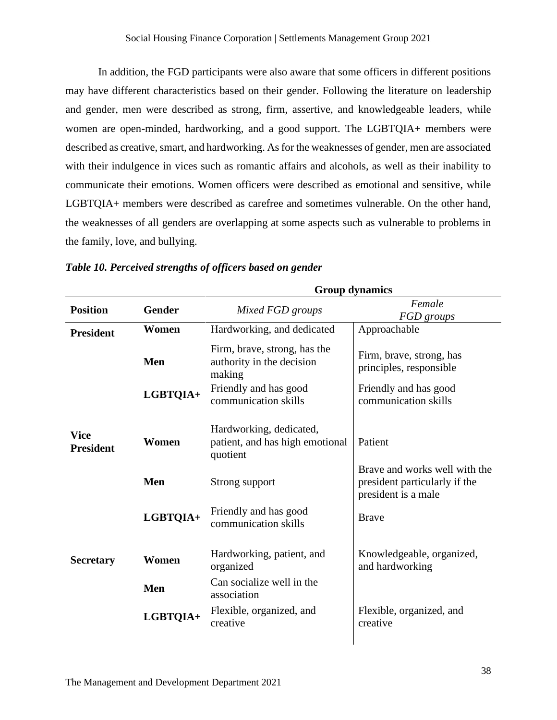In addition, the FGD participants were also aware that some officers in different positions may have different characteristics based on their gender. Following the literature on leadership and gender, men were described as strong, firm, assertive, and knowledgeable leaders, while women are open-minded, hardworking, and a good support. The LGBTQIA+ members were described as creative, smart, and hardworking. As for the weaknesses of gender, men are associated with their indulgence in vices such as romantic affairs and alcohols, as well as their inability to communicate their emotions. Women officers were described as emotional and sensitive, while LGBTQIA+ members were described as carefree and sometimes vulnerable. On the other hand, the weaknesses of all genders are overlapping at some aspects such as vulnerable to problems in the family, love, and bullying.

**Group dynamics**

|                                 |               | Group aynamics                                                         |                                                                                       |  |
|---------------------------------|---------------|------------------------------------------------------------------------|---------------------------------------------------------------------------------------|--|
| <b>Position</b>                 | <b>Gender</b> | Mixed FGD groups                                                       | Female<br>FGD groups                                                                  |  |
| <b>President</b>                | Women         | Hardworking, and dedicated                                             | Approachable                                                                          |  |
|                                 | Men           | Firm, brave, strong, has the<br>authority in the decision<br>making    | Firm, brave, strong, has<br>principles, responsible                                   |  |
|                                 | LGBTQIA+      | Friendly and has good<br>communication skills                          | Friendly and has good<br>communication skills                                         |  |
| <b>Vice</b><br><b>President</b> | Women         | Hardworking, dedicated,<br>patient, and has high emotional<br>quotient | Patient                                                                               |  |
|                                 | Men           | Strong support                                                         | Brave and works well with the<br>president particularly if the<br>president is a male |  |
|                                 | LGBTQIA+      | Friendly and has good<br>communication skills                          | <b>Brave</b>                                                                          |  |
| <b>Secretary</b>                | Women         | Hardworking, patient, and<br>organized                                 | Knowledgeable, organized,<br>and hardworking                                          |  |
|                                 | Men           | Can socialize well in the<br>association                               |                                                                                       |  |
|                                 | LGBTQIA+      | Flexible, organized, and<br>creative                                   | Flexible, organized, and<br>creative                                                  |  |
|                                 |               |                                                                        |                                                                                       |  |

#### <span id="page-38-0"></span>*Table 10. Perceived strengths of officers based on gender*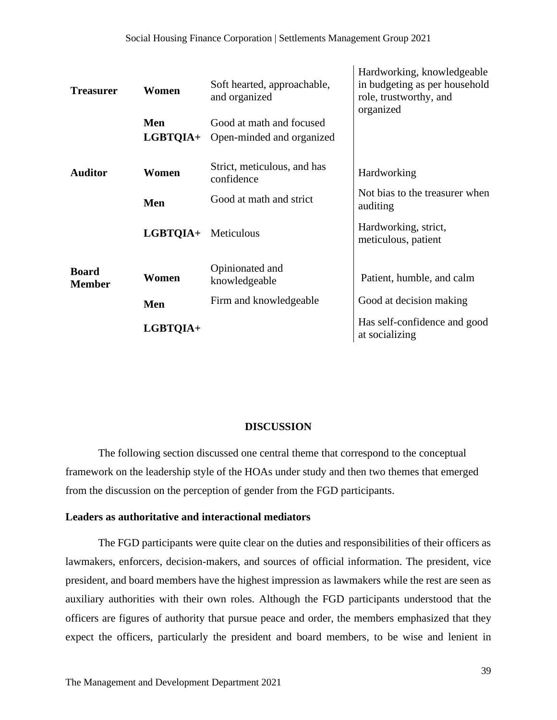| <b>Treasurer</b>              | Women<br>Men<br><b>LGBTQIA+</b> | Soft hearted, approachable,<br>and organized<br>Good at math and focused<br>Open-minded and organized | Hardworking, knowledgeable<br>in budgeting as per household<br>role, trustworthy, and<br>organized |
|-------------------------------|---------------------------------|-------------------------------------------------------------------------------------------------------|----------------------------------------------------------------------------------------------------|
| <b>Auditor</b>                | Women                           | Strict, meticulous, and has<br>confidence                                                             | Hardworking                                                                                        |
|                               | Men                             | Good at math and strict                                                                               | Not bias to the treasurer when<br>auditing                                                         |
|                               | LGBTQIA+                        | Meticulous                                                                                            | Hardworking, strict,<br>meticulous, patient                                                        |
| <b>Board</b><br><b>Member</b> | Women                           | Opinionated and<br>knowledgeable                                                                      | Patient, humble, and calm                                                                          |
|                               | Men                             | Firm and knowledgeable                                                                                | Good at decision making                                                                            |
|                               | LGBTQIA+                        |                                                                                                       | Has self-confidence and good<br>at socializing                                                     |

#### **DISCUSSION**

The following section discussed one central theme that correspond to the conceptual framework on the leadership style of the HOAs under study and then two themes that emerged from the discussion on the perception of gender from the FGD participants.

#### **Leaders as authoritative and interactional mediators**

The FGD participants were quite clear on the duties and responsibilities of their officers as lawmakers, enforcers, decision-makers, and sources of official information. The president, vice president, and board members have the highest impression as lawmakers while the rest are seen as auxiliary authorities with their own roles. Although the FGD participants understood that the officers are figures of authority that pursue peace and order, the members emphasized that they expect the officers, particularly the president and board members, to be wise and lenient in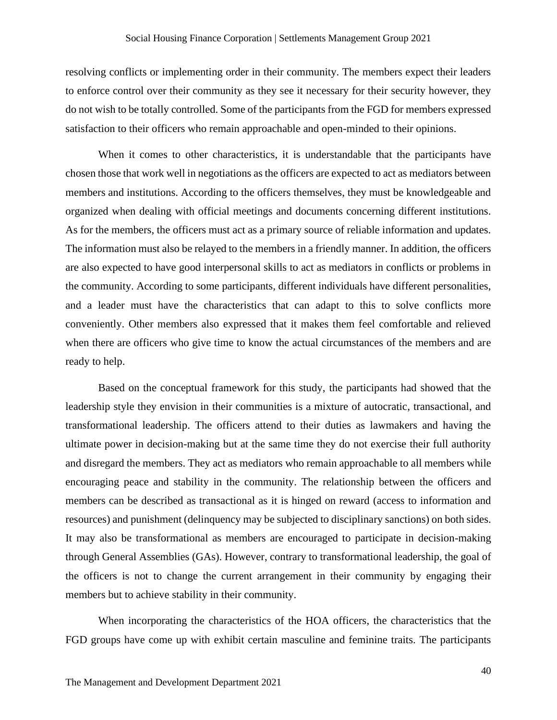resolving conflicts or implementing order in their community. The members expect their leaders to enforce control over their community as they see it necessary for their security however, they do not wish to be totally controlled. Some of the participants from the FGD for members expressed satisfaction to their officers who remain approachable and open-minded to their opinions.

When it comes to other characteristics, it is understandable that the participants have chosen those that work well in negotiations as the officers are expected to act as mediators between members and institutions. According to the officers themselves, they must be knowledgeable and organized when dealing with official meetings and documents concerning different institutions. As for the members, the officers must act as a primary source of reliable information and updates. The information must also be relayed to the members in a friendly manner. In addition, the officers are also expected to have good interpersonal skills to act as mediators in conflicts or problems in the community. According to some participants, different individuals have different personalities, and a leader must have the characteristics that can adapt to this to solve conflicts more conveniently. Other members also expressed that it makes them feel comfortable and relieved when there are officers who give time to know the actual circumstances of the members and are ready to help.

Based on the conceptual framework for this study, the participants had showed that the leadership style they envision in their communities is a mixture of autocratic, transactional, and transformational leadership. The officers attend to their duties as lawmakers and having the ultimate power in decision-making but at the same time they do not exercise their full authority and disregard the members. They act as mediators who remain approachable to all members while encouraging peace and stability in the community. The relationship between the officers and members can be described as transactional as it is hinged on reward (access to information and resources) and punishment (delinquency may be subjected to disciplinary sanctions) on both sides. It may also be transformational as members are encouraged to participate in decision-making through General Assemblies (GAs). However, contrary to transformational leadership, the goal of the officers is not to change the current arrangement in their community by engaging their members but to achieve stability in their community.

When incorporating the characteristics of the HOA officers, the characteristics that the FGD groups have come up with exhibit certain masculine and feminine traits. The participants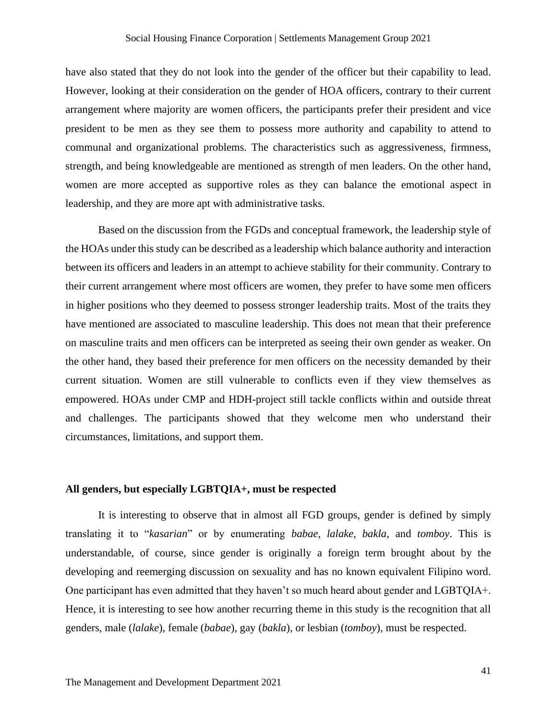have also stated that they do not look into the gender of the officer but their capability to lead. However, looking at their consideration on the gender of HOA officers, contrary to their current arrangement where majority are women officers, the participants prefer their president and vice president to be men as they see them to possess more authority and capability to attend to communal and organizational problems. The characteristics such as aggressiveness, firmness, strength, and being knowledgeable are mentioned as strength of men leaders. On the other hand, women are more accepted as supportive roles as they can balance the emotional aspect in leadership, and they are more apt with administrative tasks.

Based on the discussion from the FGDs and conceptual framework, the leadership style of the HOAs under this study can be described as a leadership which balance authority and interaction between its officers and leaders in an attempt to achieve stability for their community. Contrary to their current arrangement where most officers are women, they prefer to have some men officers in higher positions who they deemed to possess stronger leadership traits. Most of the traits they have mentioned are associated to masculine leadership. This does not mean that their preference on masculine traits and men officers can be interpreted as seeing their own gender as weaker. On the other hand, they based their preference for men officers on the necessity demanded by their current situation. Women are still vulnerable to conflicts even if they view themselves as empowered. HOAs under CMP and HDH-project still tackle conflicts within and outside threat and challenges. The participants showed that they welcome men who understand their circumstances, limitations, and support them.

#### **All genders, but especially LGBTQIA+, must be respected**

It is interesting to observe that in almost all FGD groups, gender is defined by simply translating it to "*kasarian*" or by enumerating *babae, lalake, bakla*, and *tomboy*. This is understandable, of course, since gender is originally a foreign term brought about by the developing and reemerging discussion on sexuality and has no known equivalent Filipino word. One participant has even admitted that they haven't so much heard about gender and LGBTQIA+. Hence, it is interesting to see how another recurring theme in this study is the recognition that all genders, male (*lalake*), female (*babae*), gay (*bakla*), or lesbian (*tomboy*), must be respected.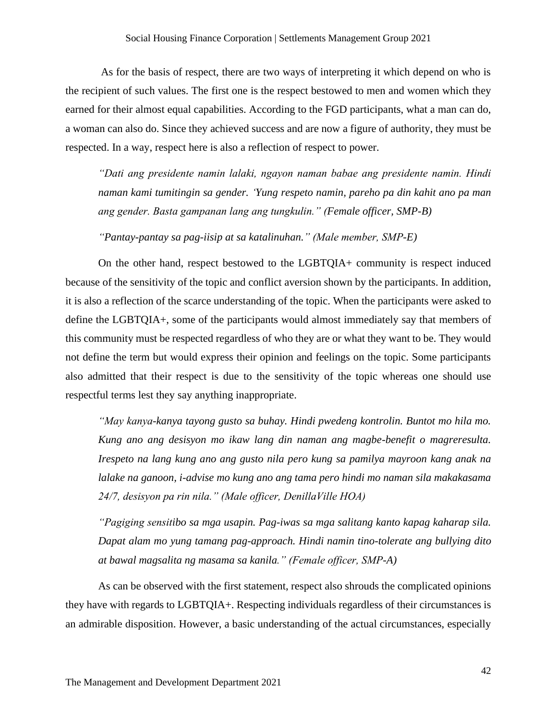As for the basis of respect, there are two ways of interpreting it which depend on who is the recipient of such values. The first one is the respect bestowed to men and women which they earned for their almost equal capabilities. According to the FGD participants, what a man can do, a woman can also do. Since they achieved success and are now a figure of authority, they must be respected. In a way, respect here is also a reflection of respect to power.

*"Dati ang presidente namin lalaki, ngayon naman babae ang presidente namin. Hindi naman kami tumitingin sa gender. 'Yung respeto namin, pareho pa din kahit ano pa man ang gender. Basta gampanan lang ang tungkulin." (Female officer, SMP-B)*

*"Pantay-pantay sa pag-iisip at sa katalinuhan." (Male member, SMP-E)*

On the other hand, respect bestowed to the LGBTQIA+ community is respect induced because of the sensitivity of the topic and conflict aversion shown by the participants. In addition, it is also a reflection of the scarce understanding of the topic. When the participants were asked to define the LGBTQIA+, some of the participants would almost immediately say that members of this community must be respected regardless of who they are or what they want to be. They would not define the term but would express their opinion and feelings on the topic. Some participants also admitted that their respect is due to the sensitivity of the topic whereas one should use respectful terms lest they say anything inappropriate.

*"May kanya-kanya tayong gusto sa buhay. Hindi pwedeng kontrolin. Buntot mo hila mo. Kung ano ang desisyon mo ikaw lang din naman ang magbe-benefit o magreresulta. Irespeto na lang kung ano ang gusto nila pero kung sa pamilya mayroon kang anak na lalake na ganoon, i-advise mo kung ano ang tama pero hindi mo naman sila makakasama 24/7, desisyon pa rin nila." (Male officer, DenillaVille HOA)*

*"Pagiging sensitibo sa mga usapin. Pag-iwas sa mga salitang kanto kapag kaharap sila. Dapat alam mo yung tamang pag-approach. Hindi namin tino-tolerate ang bullying dito at bawal magsalita ng masama sa kanila." (Female officer, SMP-A)*

As can be observed with the first statement, respect also shrouds the complicated opinions they have with regards to LGBTQIA+. Respecting individuals regardless of their circumstances is an admirable disposition. However, a basic understanding of the actual circumstances, especially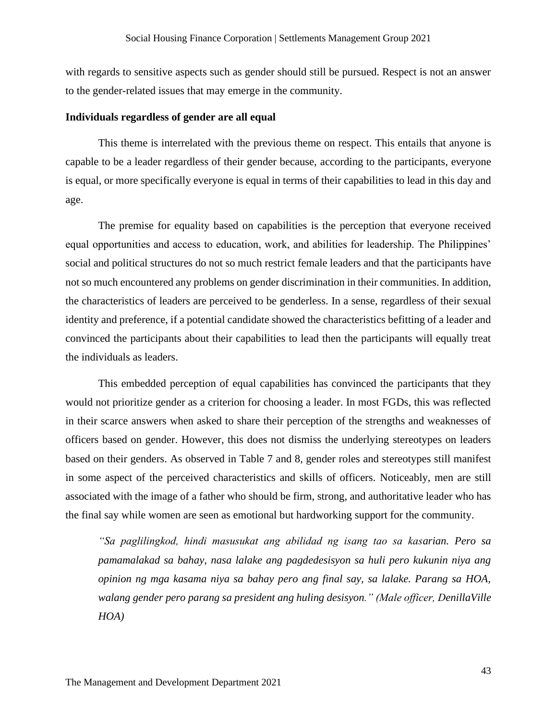with regards to sensitive aspects such as gender should still be pursued. Respect is not an answer to the gender-related issues that may emerge in the community.

#### **Individuals regardless of gender are all equal**

This theme is interrelated with the previous theme on respect. This entails that anyone is capable to be a leader regardless of their gender because, according to the participants, everyone is equal, or more specifically everyone is equal in terms of their capabilities to lead in this day and age.

The premise for equality based on capabilities is the perception that everyone received equal opportunities and access to education, work, and abilities for leadership. The Philippines' social and political structures do not so much restrict female leaders and that the participants have not so much encountered any problems on gender discrimination in their communities. In addition, the characteristics of leaders are perceived to be genderless. In a sense, regardless of their sexual identity and preference, if a potential candidate showed the characteristics befitting of a leader and convinced the participants about their capabilities to lead then the participants will equally treat the individuals as leaders.

This embedded perception of equal capabilities has convinced the participants that they would not prioritize gender as a criterion for choosing a leader. In most FGDs, this was reflected in their scarce answers when asked to share their perception of the strengths and weaknesses of officers based on gender. However, this does not dismiss the underlying stereotypes on leaders based on their genders. As observed in Table 7 and 8, gender roles and stereotypes still manifest in some aspect of the perceived characteristics and skills of officers. Noticeably, men are still associated with the image of a father who should be firm, strong, and authoritative leader who has the final say while women are seen as emotional but hardworking support for the community.

*"Sa paglilingkod, hindi masusukat ang abilidad ng isang tao sa kasarian. Pero sa pamamalakad sa bahay, nasa lalake ang pagdedesisyon sa huli pero kukunin niya ang opinion ng mga kasama niya sa bahay pero ang final say, sa lalake. Parang sa HOA, walang gender pero parang sa president ang huling desisyon." (Male officer, DenillaVille HOA)*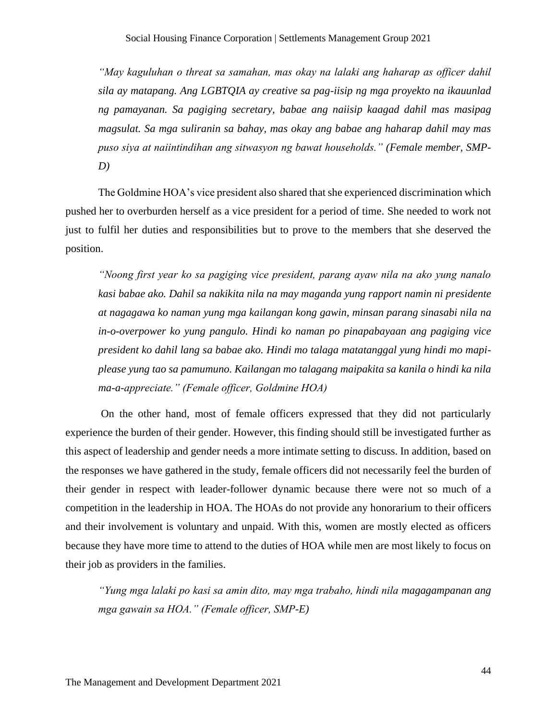*"May kaguluhan o threat sa samahan, mas okay na lalaki ang haharap as officer dahil sila ay matapang. Ang LGBTQIA ay creative sa pag-iisip ng mga proyekto na ikauunlad ng pamayanan. Sa pagiging secretary, babae ang naiisip kaagad dahil mas masipag magsulat. Sa mga suliranin sa bahay, mas okay ang babae ang haharap dahil may mas puso siya at naiintindihan ang sitwasyon ng bawat households." (Female member, SMP-D)*

The Goldmine HOA's vice president also shared that she experienced discrimination which pushed her to overburden herself as a vice president for a period of time. She needed to work not just to fulfil her duties and responsibilities but to prove to the members that she deserved the position.

*"Noong first year ko sa pagiging vice president, parang ayaw nila na ako yung nanalo kasi babae ako. Dahil sa nakikita nila na may maganda yung rapport namin ni presidente at nagagawa ko naman yung mga kailangan kong gawin, minsan parang sinasabi nila na in-o-overpower ko yung pangulo. Hindi ko naman po pinapabayaan ang pagiging vice president ko dahil lang sa babae ako. Hindi mo talaga matatanggal yung hindi mo mapiplease yung tao sa pamumuno. Kailangan mo talagang maipakita sa kanila o hindi ka nila ma-a-appreciate." (Female officer, Goldmine HOA)*

On the other hand, most of female officers expressed that they did not particularly experience the burden of their gender. However, this finding should still be investigated further as this aspect of leadership and gender needs a more intimate setting to discuss. In addition, based on the responses we have gathered in the study, female officers did not necessarily feel the burden of their gender in respect with leader-follower dynamic because there were not so much of a competition in the leadership in HOA. The HOAs do not provide any honorarium to their officers and their involvement is voluntary and unpaid. With this, women are mostly elected as officers because they have more time to attend to the duties of HOA while men are most likely to focus on their job as providers in the families.

*"Yung mga lalaki po kasi sa amin dito, may mga trabaho, hindi nila magagampanan ang mga gawain sa HOA." (Female officer, SMP-E)*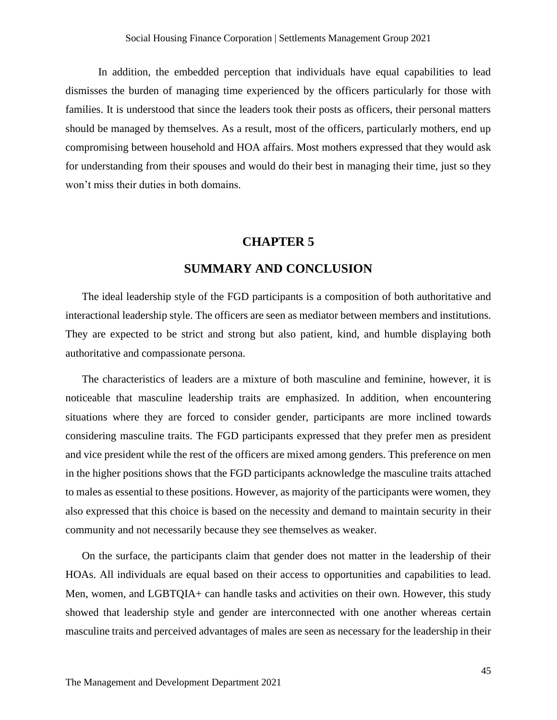In addition, the embedded perception that individuals have equal capabilities to lead dismisses the burden of managing time experienced by the officers particularly for those with families. It is understood that since the leaders took their posts as officers, their personal matters should be managed by themselves. As a result, most of the officers, particularly mothers, end up compromising between household and HOA affairs. Most mothers expressed that they would ask for understanding from their spouses and would do their best in managing their time, just so they won't miss their duties in both domains.

## **CHAPTER 5**

## **SUMMARY AND CONCLUSION**

<span id="page-45-0"></span>The ideal leadership style of the FGD participants is a composition of both authoritative and interactional leadership style. The officers are seen as mediator between members and institutions. They are expected to be strict and strong but also patient, kind, and humble displaying both authoritative and compassionate persona.

The characteristics of leaders are a mixture of both masculine and feminine, however, it is noticeable that masculine leadership traits are emphasized. In addition, when encountering situations where they are forced to consider gender, participants are more inclined towards considering masculine traits. The FGD participants expressed that they prefer men as president and vice president while the rest of the officers are mixed among genders. This preference on men in the higher positions shows that the FGD participants acknowledge the masculine traits attached to males as essential to these positions. However, as majority of the participants were women, they also expressed that this choice is based on the necessity and demand to maintain security in their community and not necessarily because they see themselves as weaker.

On the surface, the participants claim that gender does not matter in the leadership of their HOAs. All individuals are equal based on their access to opportunities and capabilities to lead. Men, women, and LGBTQIA+ can handle tasks and activities on their own. However, this study showed that leadership style and gender are interconnected with one another whereas certain masculine traits and perceived advantages of males are seen as necessary for the leadership in their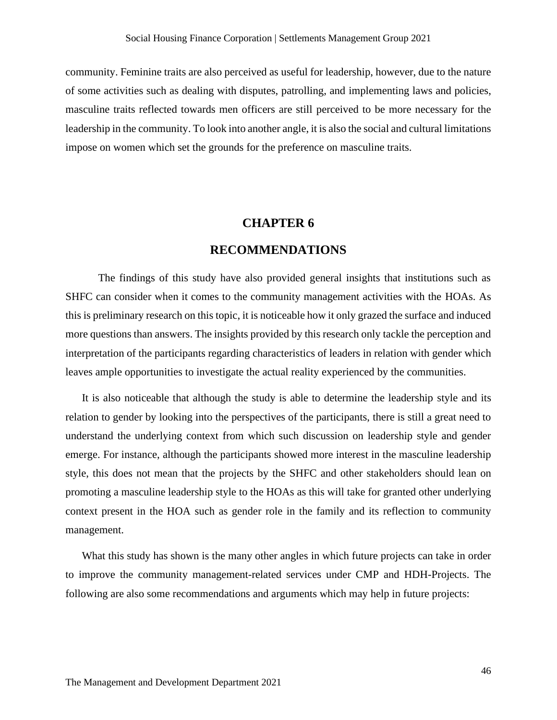community. Feminine traits are also perceived as useful for leadership, however, due to the nature of some activities such as dealing with disputes, patrolling, and implementing laws and policies, masculine traits reflected towards men officers are still perceived to be more necessary for the leadership in the community. To look into another angle, it is also the social and cultural limitations impose on women which set the grounds for the preference on masculine traits.

#### **CHAPTER 6**

#### **RECOMMENDATIONS**

<span id="page-46-0"></span>The findings of this study have also provided general insights that institutions such as SHFC can consider when it comes to the community management activities with the HOAs. As this is preliminary research on this topic, it is noticeable how it only grazed the surface and induced more questions than answers. The insights provided by this research only tackle the perception and interpretation of the participants regarding characteristics of leaders in relation with gender which leaves ample opportunities to investigate the actual reality experienced by the communities.

It is also noticeable that although the study is able to determine the leadership style and its relation to gender by looking into the perspectives of the participants, there is still a great need to understand the underlying context from which such discussion on leadership style and gender emerge. For instance, although the participants showed more interest in the masculine leadership style, this does not mean that the projects by the SHFC and other stakeholders should lean on promoting a masculine leadership style to the HOAs as this will take for granted other underlying context present in the HOA such as gender role in the family and its reflection to community management.

What this study has shown is the many other angles in which future projects can take in order to improve the community management-related services under CMP and HDH-Projects. The following are also some recommendations and arguments which may help in future projects: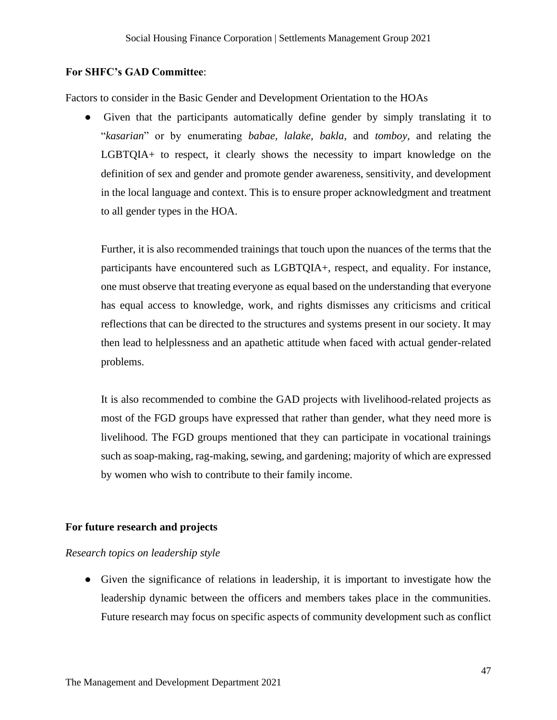#### **For SHFC's GAD Committee**:

Factors to consider in the Basic Gender and Development Orientation to the HOAs

● Given that the participants automatically define gender by simply translating it to "*kasarian*" or by enumerating *babae, lalake, bakla*, and *tomboy,* and relating the LGBTQIA+ to respect, it clearly shows the necessity to impart knowledge on the definition of sex and gender and promote gender awareness, sensitivity, and development in the local language and context. This is to ensure proper acknowledgment and treatment to all gender types in the HOA.

Further, it is also recommended trainings that touch upon the nuances of the terms that the participants have encountered such as LGBTQIA+, respect, and equality. For instance, one must observe that treating everyone as equal based on the understanding that everyone has equal access to knowledge, work, and rights dismisses any criticisms and critical reflections that can be directed to the structures and systems present in our society. It may then lead to helplessness and an apathetic attitude when faced with actual gender-related problems.

It is also recommended to combine the GAD projects with livelihood-related projects as most of the FGD groups have expressed that rather than gender, what they need more is livelihood. The FGD groups mentioned that they can participate in vocational trainings such as soap-making, rag-making, sewing, and gardening; majority of which are expressed by women who wish to contribute to their family income.

#### **For future research and projects**

#### *Research topics on leadership style*

● Given the significance of relations in leadership, it is important to investigate how the leadership dynamic between the officers and members takes place in the communities. Future research may focus on specific aspects of community development such as conflict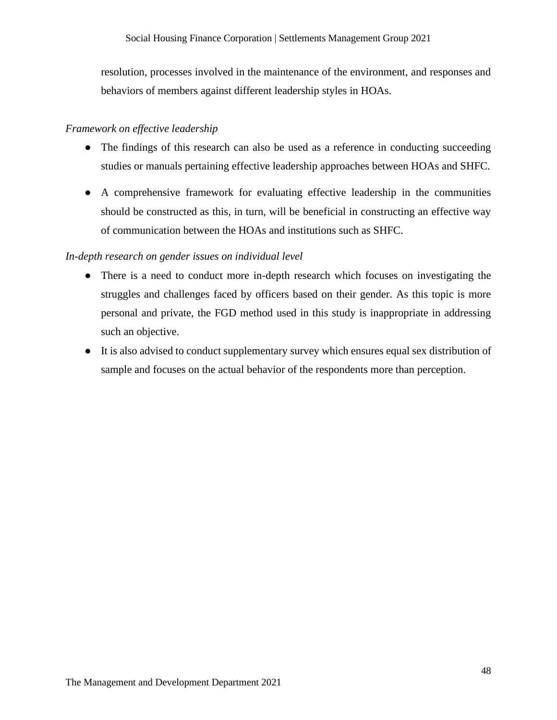resolution, processes involved in the maintenance of the environment, and responses and behaviors of members against different leadership styles in HOAs.

#### *Framework on effective leadership*

- The findings of this research can also be used as a reference in conducting succeeding studies or manuals pertaining effective leadership approaches between HOAs and SHFC.
- A comprehensive framework for evaluating effective leadership in the communities should be constructed as this, in turn, will be beneficial in constructing an effective way of communication between the HOAs and institutions such as SHFC.

#### *In-depth research on gender issues on individual level*

- There is a need to conduct more in-depth research which focuses on investigating the struggles and challenges faced by officers based on their gender. As this topic is more personal and private, the FGD method used in this study is inappropriate in addressing such an objective.
- It is also advised to conduct supplementary survey which ensures equal sex distribution of sample and focuses on the actual behavior of the respondents more than perception.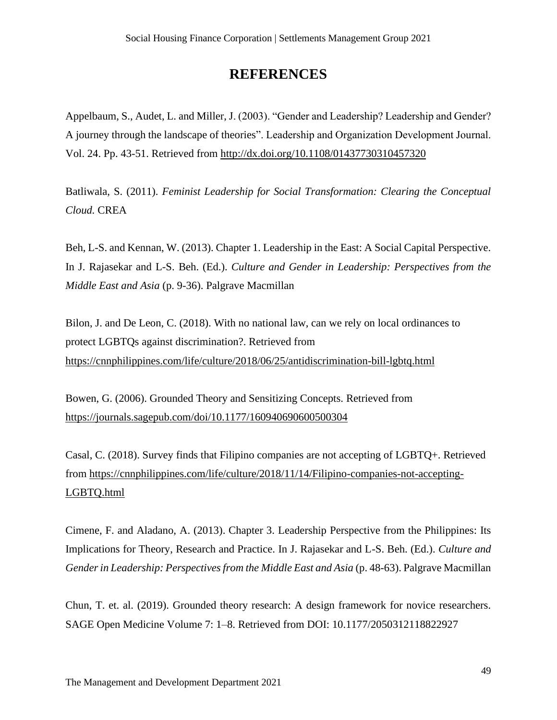# **REFERENCES**

<span id="page-49-0"></span>Appelbaum, S., Audet, L. and Miller, J. (2003). "Gender and Leadership? Leadership and Gender? A journey through the landscape of theories". Leadership and Organization Development Journal. Vol. 24. Pp. 43-51. Retrieved from<http://dx.doi.org/10.1108/01437730310457320>

Batliwala, S. (2011). *Feminist Leadership for Social Transformation: Clearing the Conceptual Cloud.* CREA

Beh, L-S. and Kennan, W. (2013). Chapter 1. Leadership in the East: A Social Capital Perspective. In J. Rajasekar and L-S. Beh. (Ed.). *Culture and Gender in Leadership: Perspectives from the Middle East and Asia* (p. 9-36). Palgrave Macmillan

Bilon, J. and De Leon, C. (2018). With no national law, can we rely on local ordinances to protect LGBTQs against discrimination?. Retrieved from <https://cnnphilippines.com/life/culture/2018/06/25/antidiscrimination-bill-lgbtq.html>

Bowen, G. (2006). Grounded Theory and Sensitizing Concepts. Retrieved from <https://journals.sagepub.com/doi/10.1177/160940690600500304>

Casal, C. (2018). Survey finds that Filipino companies are not accepting of LGBTQ+. Retrieved from [https://cnnphilippines.com/life/culture/2018/11/14/Filipino-companies-not-accepting-](https://cnnphilippines.com/life/culture/2018/11/14/Filipino-companies-not-accepting-LGBTQ.html)[LGBTQ.html](https://cnnphilippines.com/life/culture/2018/11/14/Filipino-companies-not-accepting-LGBTQ.html)

Cimene, F. and Aladano, A. (2013). Chapter 3. Leadership Perspective from the Philippines: Its Implications for Theory, Research and Practice. In J. Rajasekar and L-S. Beh. (Ed.). *Culture and Gender in Leadership: Perspectives from the Middle East and Asia* (p. 48-63). Palgrave Macmillan

Chun, T. et. al. (2019). Grounded theory research: A design framework for novice researchers. SAGE Open Medicine Volume 7: 1–8. Retrieved from DOI: 10.1177/2050312118822927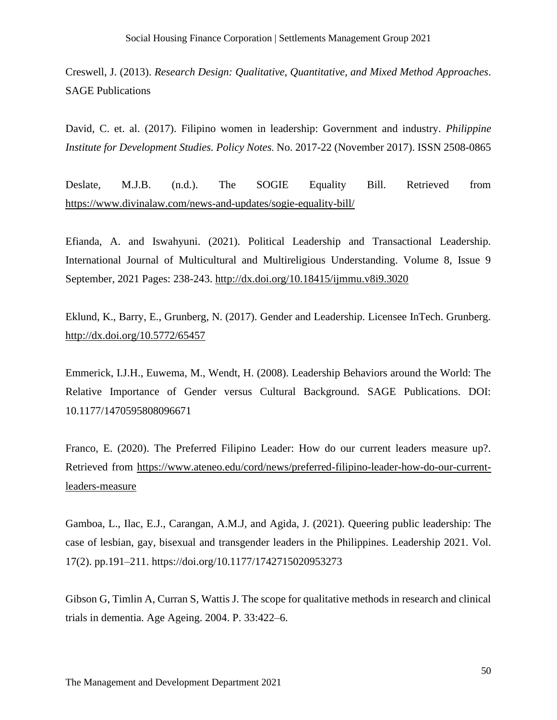Creswell, J. (2013). *Research Design: Qualitative, Quantitative, and Mixed Method Approaches*. SAGE Publications

David, C. et. al. (2017). Filipino women in leadership: Government and industry. *Philippine Institute for Development Studies. Policy Notes.* No. 2017-22 (November 2017). ISSN 2508-0865

Deslate, M.J.B. (n.d.). The SOGIE Equality Bill. Retrieved from <https://www.divinalaw.com/news-and-updates/sogie-equality-bill/>

Efianda, A. and Iswahyuni. (2021). Political Leadership and Transactional Leadership. International Journal of Multicultural and Multireligious Understanding. Volume 8, Issue 9 September, 2021 Pages: 238-243.<http://dx.doi.org/10.18415/ijmmu.v8i9.3020>

Eklund, K., Barry, E., Grunberg, N. (2017). Gender and Leadership. Licensee InTech. Grunberg. <http://dx.doi.org/10.5772/65457>

Emmerick, I.J.H., Euwema, M., Wendt, H. (2008). Leadership Behaviors around the World: The Relative Importance of Gender versus Cultural Background. SAGE Publications. DOI: 10.1177/1470595808096671

Franco, E. (2020). The Preferred Filipino Leader: How do our current leaders measure up?. Retrieved from [https://www.ateneo.edu/cord/news/preferred-filipino-leader-how-do-our-current](https://www.ateneo.edu/cord/news/preferred-filipino-leader-how-do-our-current-leaders-measure)[leaders-measure](https://www.ateneo.edu/cord/news/preferred-filipino-leader-how-do-our-current-leaders-measure)

Gamboa, L., Ilac, E.J., Carangan, A.M.J, and Agida, J. (2021). Queering public leadership: The case of lesbian, gay, bisexual and transgender leaders in the Philippines. Leadership 2021. Vol. 17(2). pp.191–211. https://doi.org/10.1177/1742715020953273

Gibson G, Timlin A, Curran S, Wattis J. The scope for qualitative methods in research and clinical trials in dementia. Age Ageing. 2004. P. 33:422–6.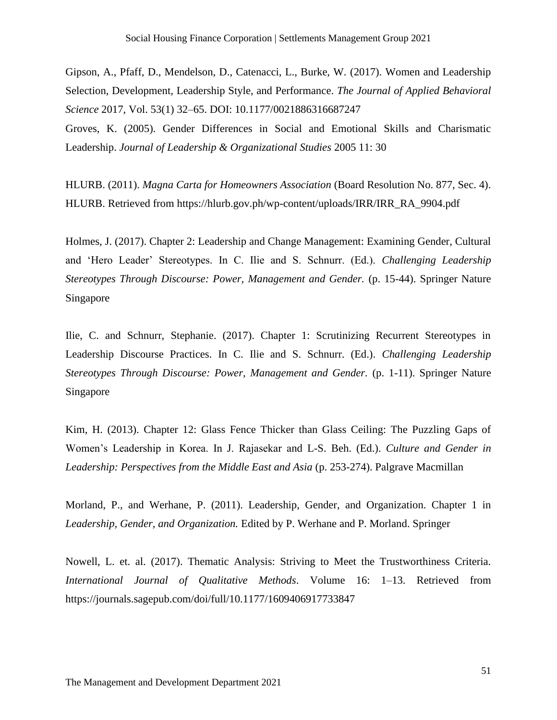Gipson, A., Pfaff, D., Mendelson, D., Catenacci, L., Burke, W. (2017). Women and Leadership Selection, Development, Leadership Style, and Performance. *The Journal of Applied Behavioral Science* 2017, Vol. 53(1) 32–65. DOI: 10.1177/0021886316687247 Groves, K. (2005). Gender Differences in Social and Emotional Skills and Charismatic Leadership. *Journal of Leadership & Organizational Studies* 2005 11: 30

HLURB. (2011). *Magna Carta for Homeowners Association* (Board Resolution No. 877, Sec. 4). HLURB. Retrieved from https://hlurb.gov.ph/wp-content/uploads/IRR/IRR\_RA\_9904.pdf

Holmes, J. (2017). Chapter 2: Leadership and Change Management: Examining Gender, Cultural and 'Hero Leader' Stereotypes. In C. Ilie and S. Schnurr. (Ed.). *Challenging Leadership Stereotypes Through Discourse: Power, Management and Gender.* (p. 15-44). Springer Nature Singapore

Ilie, C. and Schnurr, Stephanie. (2017). Chapter 1: Scrutinizing Recurrent Stereotypes in Leadership Discourse Practices. In C. Ilie and S. Schnurr. (Ed.). *Challenging Leadership Stereotypes Through Discourse: Power, Management and Gender.* (p. 1-11). Springer Nature Singapore

Kim, H. (2013). Chapter 12: Glass Fence Thicker than Glass Ceiling: The Puzzling Gaps of Women's Leadership in Korea. In J. Rajasekar and L-S. Beh. (Ed.). *Culture and Gender in Leadership: Perspectives from the Middle East and Asia* (p. 253-274). Palgrave Macmillan

Morland, P., and Werhane, P. (2011). Leadership, Gender, and Organization. Chapter 1 in *Leadership, Gender, and Organization.* Edited by P. Werhane and P. Morland. Springer

Nowell, L. et. al. (2017). Thematic Analysis: Striving to Meet the Trustworthiness Criteria. *International Journal of Qualitative Methods*. Volume 16: 1–13. Retrieved from https://journals.sagepub.com/doi/full/10.1177/1609406917733847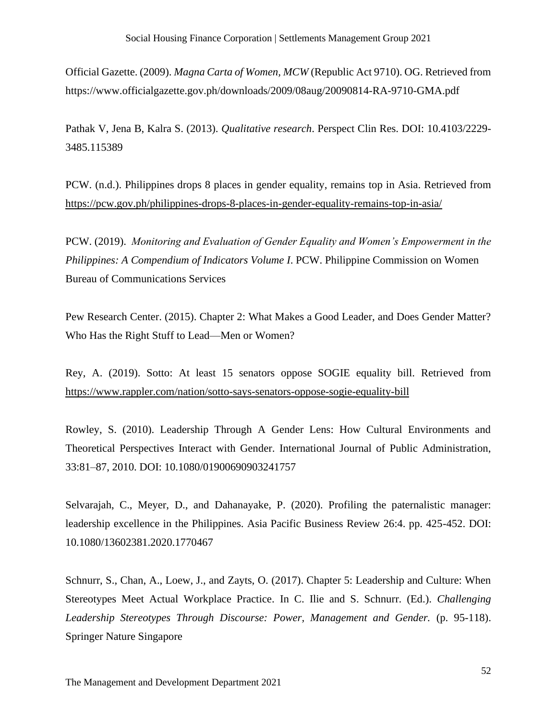Official Gazette. (2009). *Magna Carta of Women, MCW* (Republic Act 9710). OG. Retrieved from https://www.officialgazette.gov.ph/downloads/2009/08aug/20090814-RA-9710-GMA.pdf

Pathak V, Jena B, Kalra S. (2013). *Qualitative research*. Perspect Clin Res. DOI: 10.4103/2229- 3485.115389

PCW. (n.d.). Philippines drops 8 places in gender equality, remains top in Asia. Retrieved from <https://pcw.gov.ph/philippines-drops-8-places-in-gender-equality-remains-top-in-asia/>

PCW. (2019). *Monitoring and Evaluation of Gender Equality and Women's Empowerment in the Philippines: A Compendium of Indicators Volume I*. PCW. Philippine Commission on Women Bureau of Communications Services

Pew Research Center. (2015). Chapter 2: What Makes a Good Leader, and Does Gender Matter? Who Has the Right Stuff to Lead—Men or Women?

Rey, A. (2019). Sotto: At least 15 senators oppose SOGIE equality bill. Retrieved from <https://www.rappler.com/nation/sotto-says-senators-oppose-sogie-equality-bill>

Rowley, S. (2010). Leadership Through A Gender Lens: How Cultural Environments and Theoretical Perspectives Interact with Gender. International Journal of Public Administration, 33:81–87, 2010. DOI: 10.1080/01900690903241757

Selvarajah, C., Meyer, D., and Dahanayake, P. (2020). Profiling the paternalistic manager: leadership excellence in the Philippines. Asia Pacific Business Review 26:4. pp. 425-452. DOI: 10.1080/13602381.2020.1770467

Schnurr, S., Chan, A., Loew, J., and Zayts, O. (2017). Chapter 5: Leadership and Culture: When Stereotypes Meet Actual Workplace Practice. In C. Ilie and S. Schnurr. (Ed.). *Challenging Leadership Stereotypes Through Discourse: Power, Management and Gender.* (p. 95-118). Springer Nature Singapore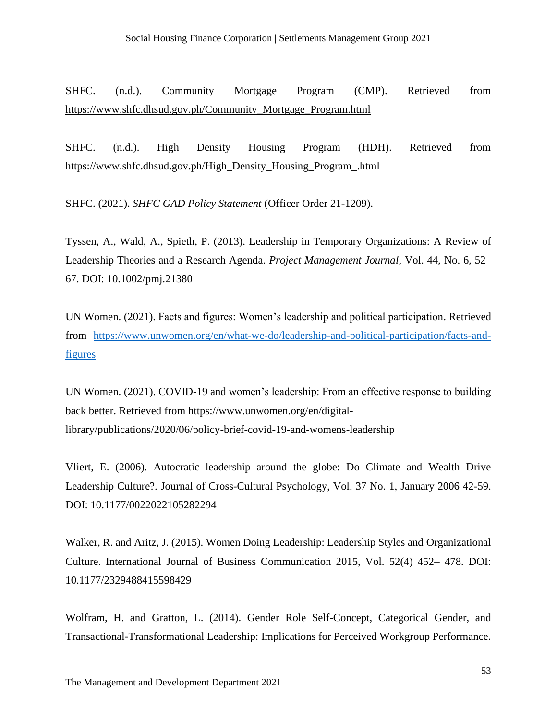SHFC. (n.d.). Community Mortgage Program (CMP). Retrieved from [https://www.shfc.dhsud.gov.ph/Community\\_Mortgage\\_Program.html](https://www.shfc.dhsud.gov.ph/Community_Mortgage_Program.html)

SHFC. (n.d.). High Density Housing Program (HDH). Retrieved from https://www.shfc.dhsud.gov.ph/High\_Density\_Housing\_Program\_.html

SHFC. (2021). *SHFC GAD Policy Statement* (Officer Order 21-1209).

Tyssen, A., Wald, A., Spieth, P. (2013). Leadership in Temporary Organizations: A Review of Leadership Theories and a Research Agenda. *Project Management Journal*, Vol. 44, No. 6, 52– 67. DOI: 10.1002/pmj.21380

UN Women. (2021). Facts and figures: Women's leadership and political participation. Retrieved from [https://www.unwomen.org/en/what-we-do/leadership-and-political-participation/facts-and](https://www.unwomen.org/en/what-we-do/leadership-and-political-participation/facts-and-figures)[figures](https://www.unwomen.org/en/what-we-do/leadership-and-political-participation/facts-and-figures)

UN Women. (2021). COVID-19 and women's leadership: From an effective response to building back better. Retrieved from https://www.unwomen.org/en/digitallibrary/publications/2020/06/policy-brief-covid-19-and-womens-leadership

Vliert, E. (2006). Autocratic leadership around the globe: Do Climate and Wealth Drive Leadership Culture?. Journal of Cross-Cultural Psychology, Vol. 37 No. 1, January 2006 42-59. DOI: 10.1177/0022022105282294

Walker, R. and Aritz, J. (2015). Women Doing Leadership: Leadership Styles and Organizational Culture. International Journal of Business Communication 2015, Vol. 52(4) 452– 478. DOI: 10.1177/2329488415598429

Wolfram, H. and Gratton, L. (2014). Gender Role Self-Concept, Categorical Gender, and Transactional-Transformational Leadership: Implications for Perceived Workgroup Performance.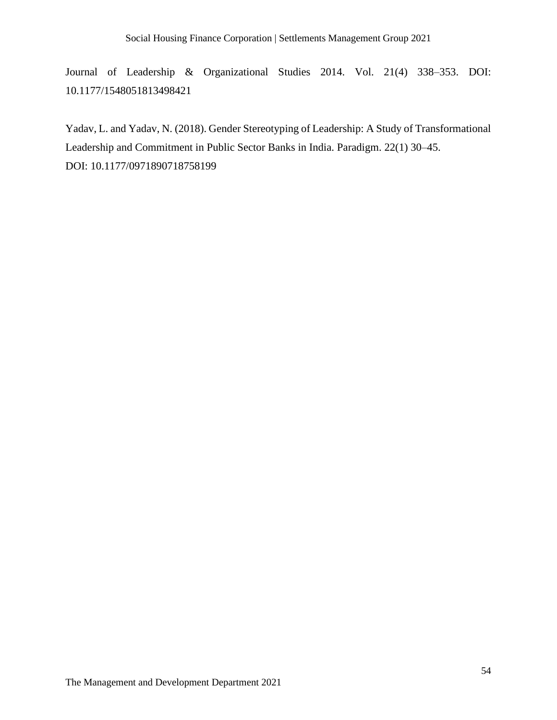Journal of Leadership & Organizational Studies 2014. Vol. 21(4) 338–353. DOI: 10.1177/1548051813498421

Yadav, L. and Yadav, N. (2018). Gender Stereotyping of Leadership: A Study of Transformational Leadership and Commitment in Public Sector Banks in India. Paradigm. 22(1) 30–45. DOI: 10.1177/0971890718758199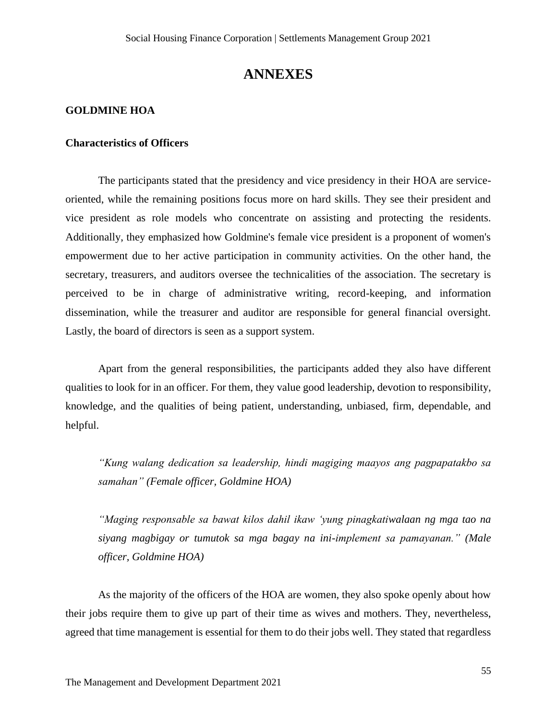# **ANNEXES**

#### <span id="page-55-1"></span><span id="page-55-0"></span>**GOLDMINE HOA**

#### **Characteristics of Officers**

The participants stated that the presidency and vice presidency in their HOA are serviceoriented, while the remaining positions focus more on hard skills. They see their president and vice president as role models who concentrate on assisting and protecting the residents. Additionally, they emphasized how Goldmine's female vice president is a proponent of women's empowerment due to her active participation in community activities. On the other hand, the secretary, treasurers, and auditors oversee the technicalities of the association. The secretary is perceived to be in charge of administrative writing, record-keeping, and information dissemination, while the treasurer and auditor are responsible for general financial oversight. Lastly, the board of directors is seen as a support system.

Apart from the general responsibilities, the participants added they also have different qualities to look for in an officer. For them, they value good leadership, devotion to responsibility, knowledge, and the qualities of being patient, understanding, unbiased, firm, dependable, and helpful.

*"Kung walang dedication sa leadership, hindi magiging maayos ang pagpapatakbo sa samahan" (Female officer, Goldmine HOA)*

*"Maging responsable sa bawat kilos dahil ikaw 'yung pinagkatiwalaan ng mga tao na siyang magbigay or tumutok sa mga bagay na ini-implement sa pamayanan." (Male officer, Goldmine HOA)*

As the majority of the officers of the HOA are women, they also spoke openly about how their jobs require them to give up part of their time as wives and mothers. They, nevertheless, agreed that time management is essential for them to do their jobs well. They stated that regardless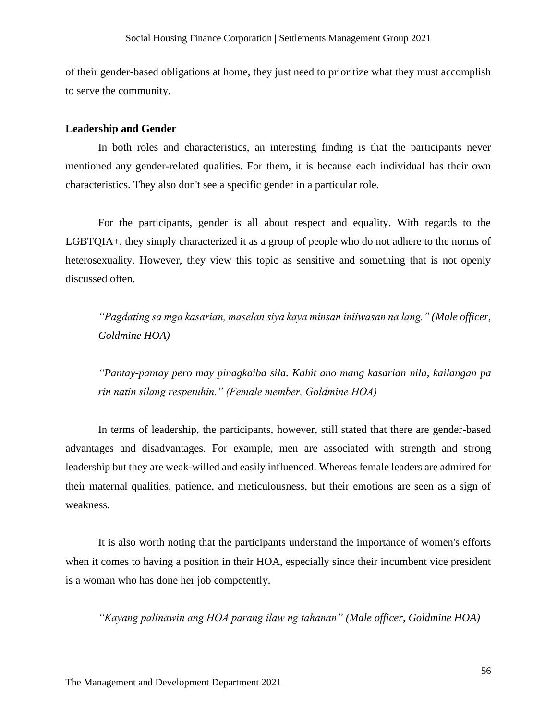of their gender-based obligations at home, they just need to prioritize what they must accomplish to serve the community.

#### **Leadership and Gender**

In both roles and characteristics, an interesting finding is that the participants never mentioned any gender-related qualities. For them, it is because each individual has their own characteristics. They also don't see a specific gender in a particular role.

For the participants, gender is all about respect and equality. With regards to the LGBTQIA+, they simply characterized it as a group of people who do not adhere to the norms of heterosexuality. However, they view this topic as sensitive and something that is not openly discussed often.

*"Pagdating sa mga kasarian, maselan siya kaya minsan iniiwasan na lang." (Male officer, Goldmine HOA)*

*"Pantay-pantay pero may pinagkaiba sila. Kahit ano mang kasarian nila, kailangan pa rin natin silang respetuhin." (Female member, Goldmine HOA)*

In terms of leadership, the participants, however, still stated that there are gender-based advantages and disadvantages. For example, men are associated with strength and strong leadership but they are weak-willed and easily influenced. Whereas female leaders are admired for their maternal qualities, patience, and meticulousness, but their emotions are seen as a sign of weakness.

It is also worth noting that the participants understand the importance of women's efforts when it comes to having a position in their HOA, especially since their incumbent vice president is a woman who has done her job competently.

*"Kayang palinawin ang HOA parang ilaw ng tahanan" (Male officer, Goldmine HOA)*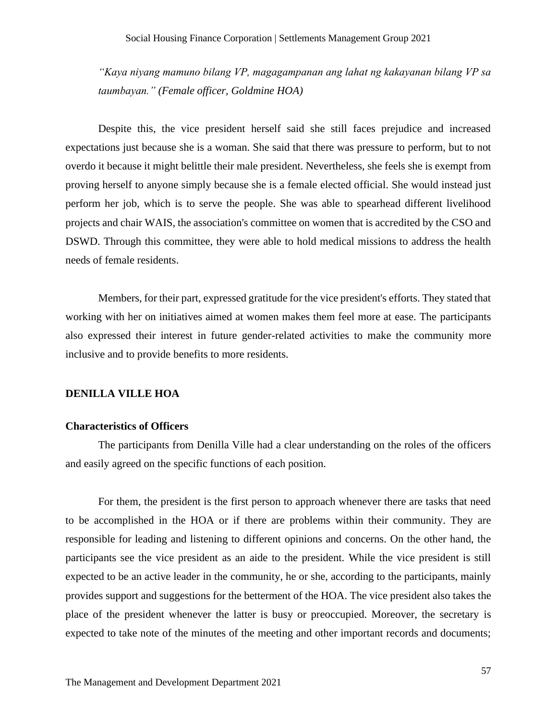*"Kaya niyang mamuno bilang VP, magagampanan ang lahat ng kakayanan bilang VP sa taumbayan." (Female officer, Goldmine HOA)*

Despite this, the vice president herself said she still faces prejudice and increased expectations just because she is a woman. She said that there was pressure to perform, but to not overdo it because it might belittle their male president. Nevertheless, she feels she is exempt from proving herself to anyone simply because she is a female elected official. She would instead just perform her job, which is to serve the people. She was able to spearhead different livelihood projects and chair WAIS, the association's committee on women that is accredited by the CSO and DSWD. Through this committee, they were able to hold medical missions to address the health needs of female residents.

Members, for their part, expressed gratitude for the vice president's efforts. They stated that working with her on initiatives aimed at women makes them feel more at ease. The participants also expressed their interest in future gender-related activities to make the community more inclusive and to provide benefits to more residents.

#### <span id="page-57-0"></span>**DENILLA VILLE HOA**

#### **Characteristics of Officers**

The participants from Denilla Ville had a clear understanding on the roles of the officers and easily agreed on the specific functions of each position.

For them, the president is the first person to approach whenever there are tasks that need to be accomplished in the HOA or if there are problems within their community. They are responsible for leading and listening to different opinions and concerns. On the other hand, the participants see the vice president as an aide to the president. While the vice president is still expected to be an active leader in the community, he or she, according to the participants, mainly provides support and suggestions for the betterment of the HOA. The vice president also takes the place of the president whenever the latter is busy or preoccupied. Moreover, the secretary is expected to take note of the minutes of the meeting and other important records and documents;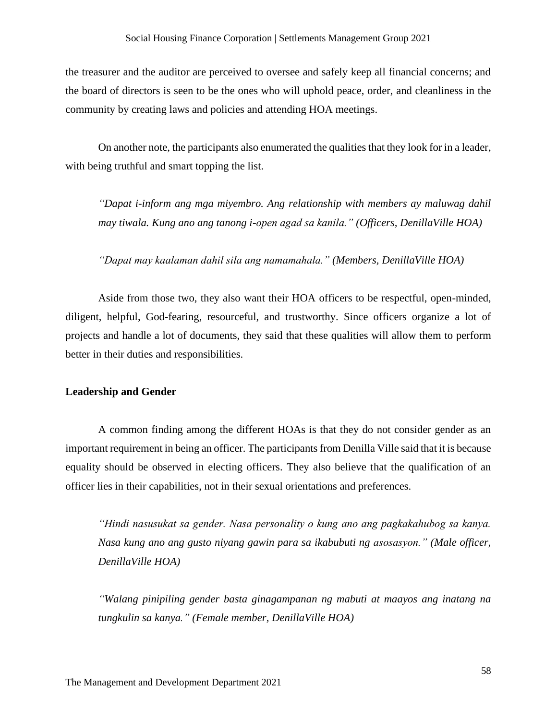the treasurer and the auditor are perceived to oversee and safely keep all financial concerns; and the board of directors is seen to be the ones who will uphold peace, order, and cleanliness in the community by creating laws and policies and attending HOA meetings.

On another note, the participants also enumerated the qualities that they look for in a leader, with being truthful and smart topping the list.

*"Dapat i-inform ang mga miyembro. Ang relationship with members ay maluwag dahil may tiwala. Kung ano ang tanong i-open agad sa kanila." (Officers, DenillaVille HOA)*

*"Dapat may kaalaman dahil sila ang namamahala." (Members, DenillaVille HOA)*

Aside from those two, they also want their HOA officers to be respectful, open-minded, diligent, helpful, God-fearing, resourceful, and trustworthy. Since officers organize a lot of projects and handle a lot of documents, they said that these qualities will allow them to perform better in their duties and responsibilities.

#### **Leadership and Gender**

A common finding among the different HOAs is that they do not consider gender as an important requirement in being an officer. The participants from Denilla Ville said that it is because equality should be observed in electing officers. They also believe that the qualification of an officer lies in their capabilities, not in their sexual orientations and preferences.

*"Hindi nasusukat sa gender. Nasa personality o kung ano ang pagkakahubog sa kanya. Nasa kung ano ang gusto niyang gawin para sa ikabubuti ng asosasyon." (Male officer, DenillaVille HOA)*

*"Walang pinipiling gender basta ginagampanan ng mabuti at maayos ang inatang na tungkulin sa kanya." (Female member, DenillaVille HOA)*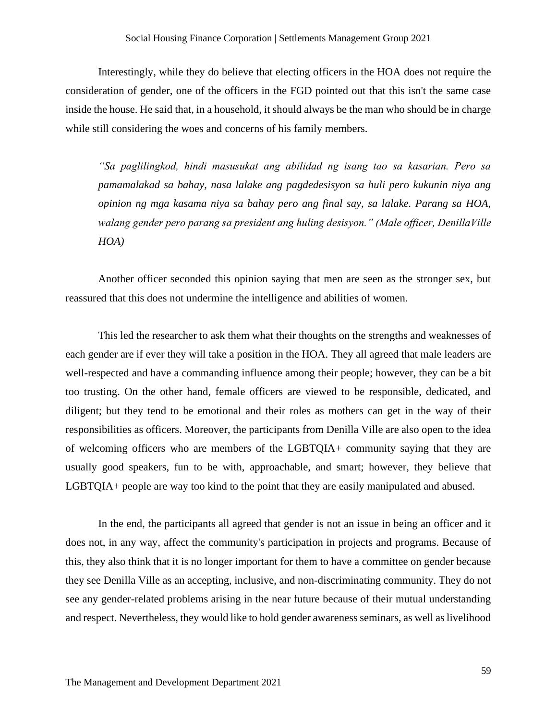Interestingly, while they do believe that electing officers in the HOA does not require the consideration of gender, one of the officers in the FGD pointed out that this isn't the same case inside the house. He said that, in a household, it should always be the man who should be in charge while still considering the woes and concerns of his family members.

*"Sa paglilingkod, hindi masusukat ang abilidad ng isang tao sa kasarian. Pero sa pamamalakad sa bahay, nasa lalake ang pagdedesisyon sa huli pero kukunin niya ang opinion ng mga kasama niya sa bahay pero ang final say, sa lalake. Parang sa HOA, walang gender pero parang sa president ang huling desisyon." (Male officer, DenillaVille HOA)*

Another officer seconded this opinion saying that men are seen as the stronger sex, but reassured that this does not undermine the intelligence and abilities of women.

This led the researcher to ask them what their thoughts on the strengths and weaknesses of each gender are if ever they will take a position in the HOA. They all agreed that male leaders are well-respected and have a commanding influence among their people; however, they can be a bit too trusting. On the other hand, female officers are viewed to be responsible, dedicated, and diligent; but they tend to be emotional and their roles as mothers can get in the way of their responsibilities as officers. Moreover, the participants from Denilla Ville are also open to the idea of welcoming officers who are members of the LGBTQIA+ community saying that they are usually good speakers, fun to be with, approachable, and smart; however, they believe that LGBTQIA+ people are way too kind to the point that they are easily manipulated and abused.

In the end, the participants all agreed that gender is not an issue in being an officer and it does not, in any way, affect the community's participation in projects and programs. Because of this, they also think that it is no longer important for them to have a committee on gender because they see Denilla Ville as an accepting, inclusive, and non-discriminating community. They do not see any gender-related problems arising in the near future because of their mutual understanding and respect. Nevertheless, they would like to hold gender awareness seminars, as well as livelihood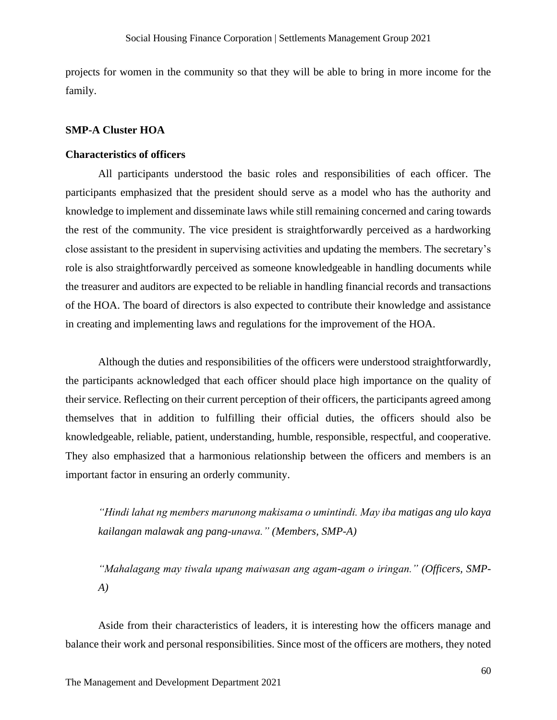projects for women in the community so that they will be able to bring in more income for the family.

#### <span id="page-60-0"></span>**SMP-A Cluster HOA**

#### **Characteristics of officers**

All participants understood the basic roles and responsibilities of each officer. The participants emphasized that the president should serve as a model who has the authority and knowledge to implement and disseminate laws while still remaining concerned and caring towards the rest of the community. The vice president is straightforwardly perceived as a hardworking close assistant to the president in supervising activities and updating the members. The secretary's role is also straightforwardly perceived as someone knowledgeable in handling documents while the treasurer and auditors are expected to be reliable in handling financial records and transactions of the HOA. The board of directors is also expected to contribute their knowledge and assistance in creating and implementing laws and regulations for the improvement of the HOA.

Although the duties and responsibilities of the officers were understood straightforwardly, the participants acknowledged that each officer should place high importance on the quality of their service. Reflecting on their current perception of their officers, the participants agreed among themselves that in addition to fulfilling their official duties, the officers should also be knowledgeable, reliable, patient, understanding, humble, responsible, respectful, and cooperative. They also emphasized that a harmonious relationship between the officers and members is an important factor in ensuring an orderly community.

*"Hindi lahat ng members marunong makisama o umintindi. May iba matigas ang ulo kaya kailangan malawak ang pang-unawa." (Members, SMP-A)*

*"Mahalagang may tiwala upang maiwasan ang agam-agam o iringan." (Officers, SMP-A)*

Aside from their characteristics of leaders, it is interesting how the officers manage and balance their work and personal responsibilities. Since most of the officers are mothers, they noted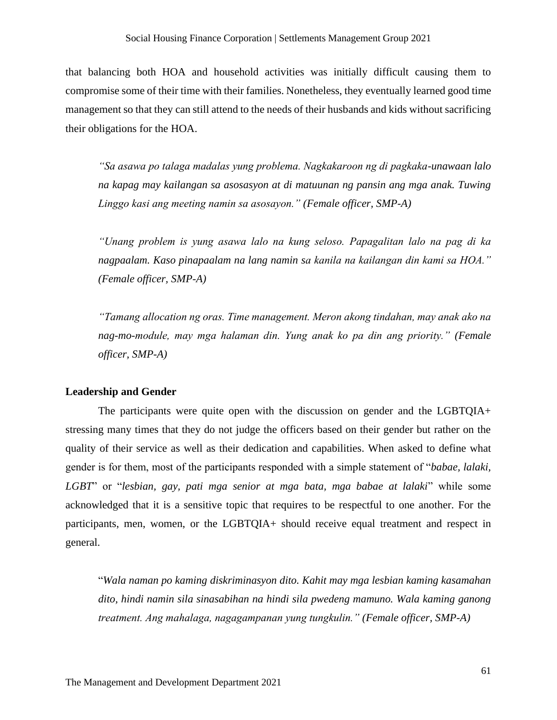that balancing both HOA and household activities was initially difficult causing them to compromise some of their time with their families. Nonetheless, they eventually learned good time management so that they can still attend to the needs of their husbands and kids without sacrificing their obligations for the HOA.

*"Sa asawa po talaga madalas yung problema. Nagkakaroon ng di pagkaka-unawaan lalo na kapag may kailangan sa asosasyon at di matuunan ng pansin ang mga anak. Tuwing Linggo kasi ang meeting namin sa asosayon." (Female officer, SMP-A)*

*"Unang problem is yung asawa lalo na kung seloso. Papagalitan lalo na pag di ka nagpaalam. Kaso pinapaalam na lang namin sa kanila na kailangan din kami sa HOA." (Female officer, SMP-A)*

*"Tamang allocation ng oras. Time management. Meron akong tindahan, may anak ako na nag-mo-module, may mga halaman din. Yung anak ko pa din ang priority." (Female officer, SMP-A)*

#### **Leadership and Gender**

The participants were quite open with the discussion on gender and the LGBTQIA+ stressing many times that they do not judge the officers based on their gender but rather on the quality of their service as well as their dedication and capabilities. When asked to define what gender is for them, most of the participants responded with a simple statement of "*babae, lalaki, LGBT*" or "*lesbian, gay, pati mga senior at mga bata, mga babae at lalaki*" while some acknowledged that it is a sensitive topic that requires to be respectful to one another. For the participants, men, women, or the LGBTQIA+ should receive equal treatment and respect in general.

"*Wala naman po kaming diskriminasyon dito. Kahit may mga lesbian kaming kasamahan dito, hindi namin sila sinasabihan na hindi sila pwedeng mamuno. Wala kaming ganong treatment. Ang mahalaga, nagagampanan yung tungkulin." (Female officer, SMP-A)*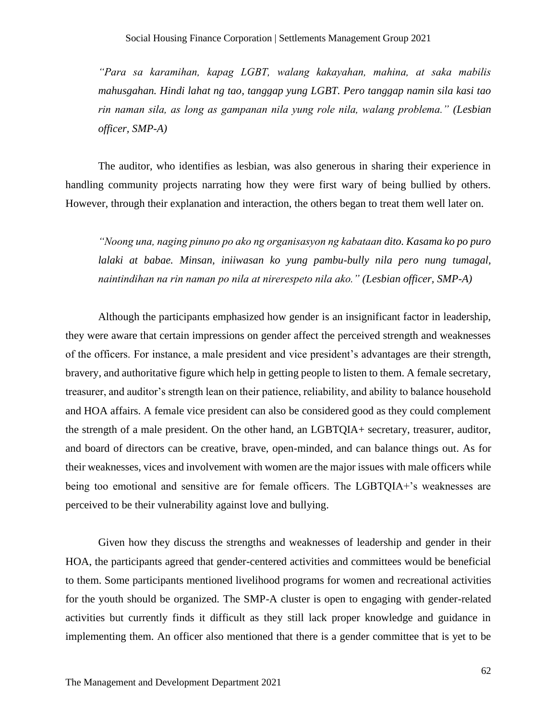*"Para sa karamihan, kapag LGBT, walang kakayahan, mahina, at saka mabilis mahusgahan. Hindi lahat ng tao, tanggap yung LGBT. Pero tanggap namin sila kasi tao rin naman sila, as long as gampanan nila yung role nila, walang problema." (Lesbian officer, SMP-A)*

The auditor, who identifies as lesbian, was also generous in sharing their experience in handling community projects narrating how they were first wary of being bullied by others. However, through their explanation and interaction, the others began to treat them well later on.

*"Noong una, naging pinuno po ako ng organisasyon ng kabataan dito. Kasama ko po puro lalaki at babae. Minsan, iniiwasan ko yung pambu-bully nila pero nung tumagal, naintindihan na rin naman po nila at nirerespeto nila ako." (Lesbian officer, SMP-A)*

Although the participants emphasized how gender is an insignificant factor in leadership, they were aware that certain impressions on gender affect the perceived strength and weaknesses of the officers. For instance, a male president and vice president's advantages are their strength, bravery, and authoritative figure which help in getting people to listen to them. A female secretary, treasurer, and auditor's strength lean on their patience, reliability, and ability to balance household and HOA affairs. A female vice president can also be considered good as they could complement the strength of a male president. On the other hand, an LGBTQIA+ secretary, treasurer, auditor, and board of directors can be creative, brave, open-minded, and can balance things out. As for their weaknesses, vices and involvement with women are the major issues with male officers while being too emotional and sensitive are for female officers. The LGBTQIA+'s weaknesses are perceived to be their vulnerability against love and bullying.

Given how they discuss the strengths and weaknesses of leadership and gender in their HOA, the participants agreed that gender-centered activities and committees would be beneficial to them. Some participants mentioned livelihood programs for women and recreational activities for the youth should be organized. The SMP-A cluster is open to engaging with gender-related activities but currently finds it difficult as they still lack proper knowledge and guidance in implementing them. An officer also mentioned that there is a gender committee that is yet to be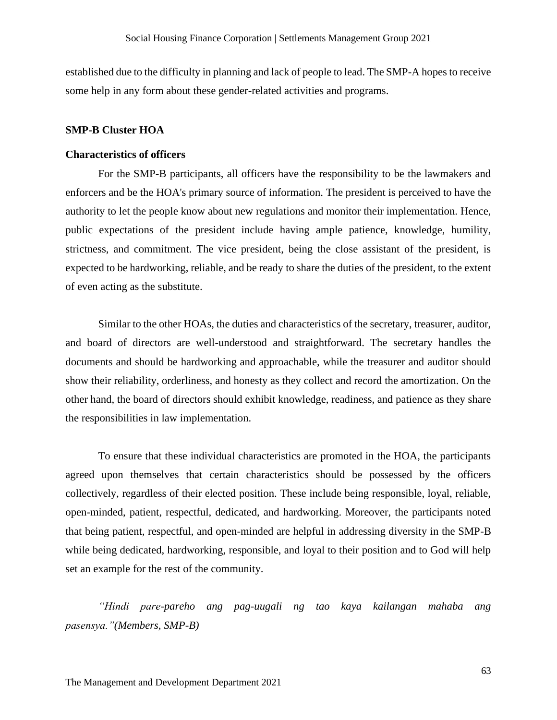established due to the difficulty in planning and lack of people to lead. The SMP-A hopes to receive some help in any form about these gender-related activities and programs.

#### <span id="page-63-0"></span>**SMP-B Cluster HOA**

#### **Characteristics of officers**

For the SMP-B participants, all officers have the responsibility to be the lawmakers and enforcers and be the HOA's primary source of information. The president is perceived to have the authority to let the people know about new regulations and monitor their implementation. Hence, public expectations of the president include having ample patience, knowledge, humility, strictness, and commitment. The vice president, being the close assistant of the president, is expected to be hardworking, reliable, and be ready to share the duties of the president, to the extent of even acting as the substitute.

Similar to the other HOAs, the duties and characteristics of the secretary, treasurer, auditor, and board of directors are well-understood and straightforward. The secretary handles the documents and should be hardworking and approachable, while the treasurer and auditor should show their reliability, orderliness, and honesty as they collect and record the amortization. On the other hand, the board of directors should exhibit knowledge, readiness, and patience as they share the responsibilities in law implementation.

To ensure that these individual characteristics are promoted in the HOA, the participants agreed upon themselves that certain characteristics should be possessed by the officers collectively, regardless of their elected position. These include being responsible, loyal, reliable, open-minded, patient, respectful, dedicated, and hardworking. Moreover, the participants noted that being patient, respectful, and open-minded are helpful in addressing diversity in the SMP-B while being dedicated, hardworking, responsible, and loyal to their position and to God will help set an example for the rest of the community.

*"Hindi pare-pareho ang pag-uugali ng tao kaya kailangan mahaba ang pasensya."(Members, SMP-B)*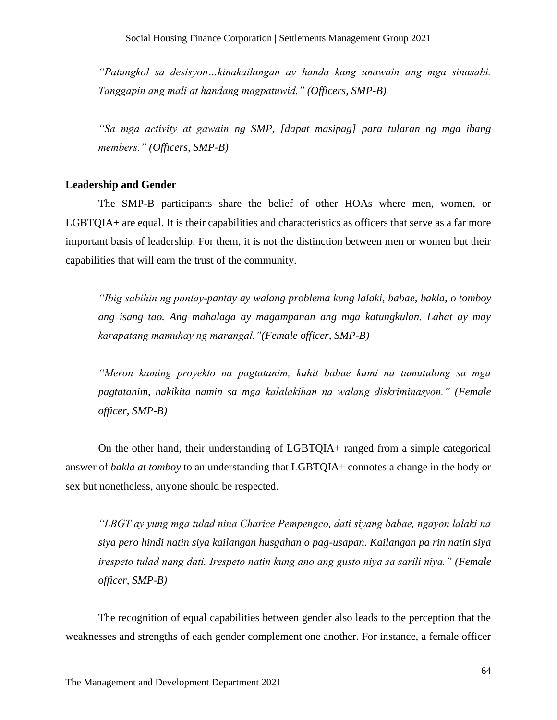*"Patungkol sa desisyon…kinakailangan ay handa kang unawain ang mga sinasabi. Tanggapin ang mali at handang magpatuwid." (Officers, SMP-B)*

*"Sa mga activity at gawain ng SMP, [dapat masipag] para tularan ng mga ibang members." (Officers, SMP-B)*

#### **Leadership and Gender**

The SMP-B participants share the belief of other HOAs where men, women, or LGBTQIA+ are equal. It is their capabilities and characteristics as officers that serve as a far more important basis of leadership. For them, it is not the distinction between men or women but their capabilities that will earn the trust of the community.

*"Ibig sabihin ng pantay-pantay ay walang problema kung lalaki, babae, bakla, o tomboy ang isang tao. Ang mahalaga ay magampanan ang mga katungkulan. Lahat ay may karapatang mamuhay ng marangal."(Female officer, SMP-B)*

*"Meron kaming proyekto na pagtatanim, kahit babae kami na tumutulong sa mga pagtatanim, nakikita namin sa mga kalalakihan na walang diskriminasyon." (Female officer, SMP-B)*

On the other hand, their understanding of LGBTQIA+ ranged from a simple categorical answer of *bakla at tomboy* to an understanding that LGBTQIA+ connotes a change in the body or sex but nonetheless, anyone should be respected.

*"LBGT ay yung mga tulad nina Charice Pempengco, dati siyang babae, ngayon lalaki na siya pero hindi natin siya kailangan husgahan o pag-usapan. Kailangan pa rin natin siya irespeto tulad nang dati. Irespeto natin kung ano ang gusto niya sa sarili niya." (Female officer, SMP-B)*

The recognition of equal capabilities between gender also leads to the perception that the weaknesses and strengths of each gender complement one another. For instance, a female officer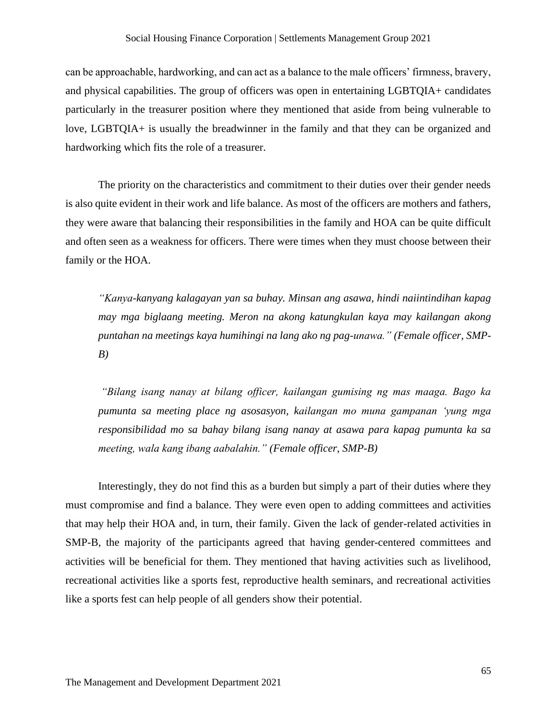can be approachable, hardworking, and can act as a balance to the male officers' firmness, bravery, and physical capabilities. The group of officers was open in entertaining LGBTQIA+ candidates particularly in the treasurer position where they mentioned that aside from being vulnerable to love, LGBTQIA+ is usually the breadwinner in the family and that they can be organized and hardworking which fits the role of a treasurer.

The priority on the characteristics and commitment to their duties over their gender needs is also quite evident in their work and life balance. As most of the officers are mothers and fathers, they were aware that balancing their responsibilities in the family and HOA can be quite difficult and often seen as a weakness for officers. There were times when they must choose between their family or the HOA.

*"Kanya-kanyang kalagayan yan sa buhay. Minsan ang asawa, hindi naiintindihan kapag may mga biglaang meeting. Meron na akong katungkulan kaya may kailangan akong puntahan na meetings kaya humihingi na lang ako ng pag-unawa." (Female officer, SMP-B)*

*"Bilang isang nanay at bilang officer, kailangan gumising ng mas maaga. Bago ka pumunta sa meeting place ng asosasyon, kailangan mo muna gampanan 'yung mga responsibilidad mo sa bahay bilang isang nanay at asawa para kapag pumunta ka sa meeting, wala kang ibang aabalahin." (Female officer, SMP-B)*

Interestingly, they do not find this as a burden but simply a part of their duties where they must compromise and find a balance. They were even open to adding committees and activities that may help their HOA and, in turn, their family. Given the lack of gender-related activities in SMP-B, the majority of the participants agreed that having gender-centered committees and activities will be beneficial for them. They mentioned that having activities such as livelihood, recreational activities like a sports fest, reproductive health seminars, and recreational activities like a sports fest can help people of all genders show their potential.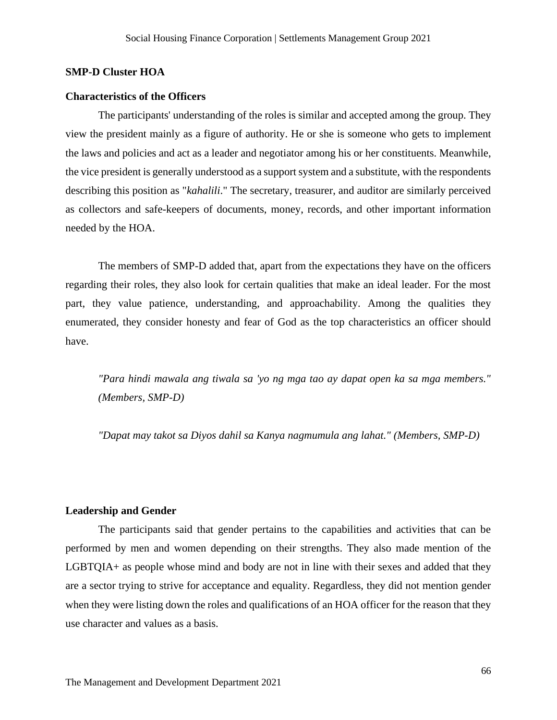#### <span id="page-66-0"></span>**SMP-D Cluster HOA**

#### **Characteristics of the Officers**

The participants' understanding of the roles is similar and accepted among the group. They view the president mainly as a figure of authority. He or she is someone who gets to implement the laws and policies and act as a leader and negotiator among his or her constituents. Meanwhile, the vice president is generally understood as a support system and a substitute, with the respondents describing this position as "*kahalili*." The secretary, treasurer, and auditor are similarly perceived as collectors and safe-keepers of documents, money, records, and other important information needed by the HOA.

The members of SMP-D added that, apart from the expectations they have on the officers regarding their roles, they also look for certain qualities that make an ideal leader. For the most part, they value patience, understanding, and approachability. Among the qualities they enumerated, they consider honesty and fear of God as the top characteristics an officer should have.

*"Para hindi mawala ang tiwala sa 'yo ng mga tao ay dapat open ka sa mga members." (Members, SMP-D)*

*"Dapat may takot sa Diyos dahil sa Kanya nagmumula ang lahat." (Members, SMP-D)*

#### **Leadership and Gender**

The participants said that gender pertains to the capabilities and activities that can be performed by men and women depending on their strengths. They also made mention of the LGBTQIA+ as people whose mind and body are not in line with their sexes and added that they are a sector trying to strive for acceptance and equality. Regardless, they did not mention gender when they were listing down the roles and qualifications of an HOA officer for the reason that they use character and values as a basis.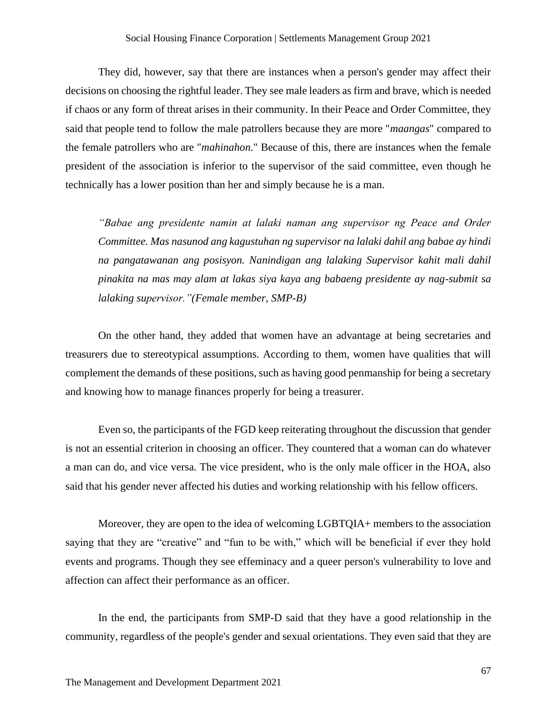They did, however, say that there are instances when a person's gender may affect their decisions on choosing the rightful leader. They see male leaders as firm and brave, which is needed if chaos or any form of threat arises in their community. In their Peace and Order Committee, they said that people tend to follow the male patrollers because they are more "*maangas*" compared to the female patrollers who are "*mahinahon*." Because of this, there are instances when the female president of the association is inferior to the supervisor of the said committee, even though he technically has a lower position than her and simply because he is a man.

*"Babae ang presidente namin at lalaki naman ang supervisor ng Peace and Order Committee. Mas nasunod ang kagustuhan ng supervisor na lalaki dahil ang babae ay hindi na pangatawanan ang posisyon. Nanindigan ang lalaking Supervisor kahit mali dahil pinakita na mas may alam at lakas siya kaya ang babaeng presidente ay nag-submit sa lalaking supervisor."(Female member, SMP-B)*

On the other hand, they added that women have an advantage at being secretaries and treasurers due to stereotypical assumptions. According to them, women have qualities that will complement the demands of these positions, such as having good penmanship for being a secretary and knowing how to manage finances properly for being a treasurer.

Even so, the participants of the FGD keep reiterating throughout the discussion that gender is not an essential criterion in choosing an officer. They countered that a woman can do whatever a man can do, and vice versa. The vice president, who is the only male officer in the HOA, also said that his gender never affected his duties and working relationship with his fellow officers.

Moreover, they are open to the idea of welcoming LGBTQIA+ members to the association saying that they are "creative" and "fun to be with," which will be beneficial if ever they hold events and programs. Though they see effeminacy and a queer person's vulnerability to love and affection can affect their performance as an officer.

In the end, the participants from SMP-D said that they have a good relationship in the community, regardless of the people's gender and sexual orientations. They even said that they are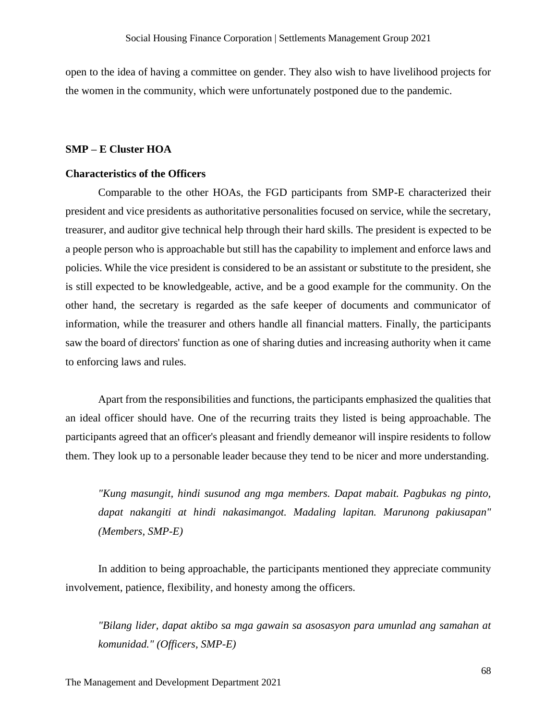open to the idea of having a committee on gender. They also wish to have livelihood projects for the women in the community, which were unfortunately postponed due to the pandemic.

#### <span id="page-68-0"></span>**SMP – E Cluster HOA**

#### **Characteristics of the Officers**

Comparable to the other HOAs, the FGD participants from SMP-E characterized their president and vice presidents as authoritative personalities focused on service, while the secretary, treasurer, and auditor give technical help through their hard skills. The president is expected to be a people person who is approachable but still has the capability to implement and enforce laws and policies. While the vice president is considered to be an assistant or substitute to the president, she is still expected to be knowledgeable, active, and be a good example for the community. On the other hand, the secretary is regarded as the safe keeper of documents and communicator of information, while the treasurer and others handle all financial matters. Finally, the participants saw the board of directors' function as one of sharing duties and increasing authority when it came to enforcing laws and rules.

Apart from the responsibilities and functions, the participants emphasized the qualities that an ideal officer should have. One of the recurring traits they listed is being approachable. The participants agreed that an officer's pleasant and friendly demeanor will inspire residents to follow them. They look up to a personable leader because they tend to be nicer and more understanding.

*"Kung masungit, hindi susunod ang mga members. Dapat mabait. Pagbukas ng pinto, dapat nakangiti at hindi nakasimangot. Madaling lapitan. Marunong pakiusapan" (Members, SMP-E)*

In addition to being approachable, the participants mentioned they appreciate community involvement, patience, flexibility, and honesty among the officers.

*"Bilang lider, dapat aktibo sa mga gawain sa asosasyon para umunlad ang samahan at komunidad." (Officers, SMP-E)*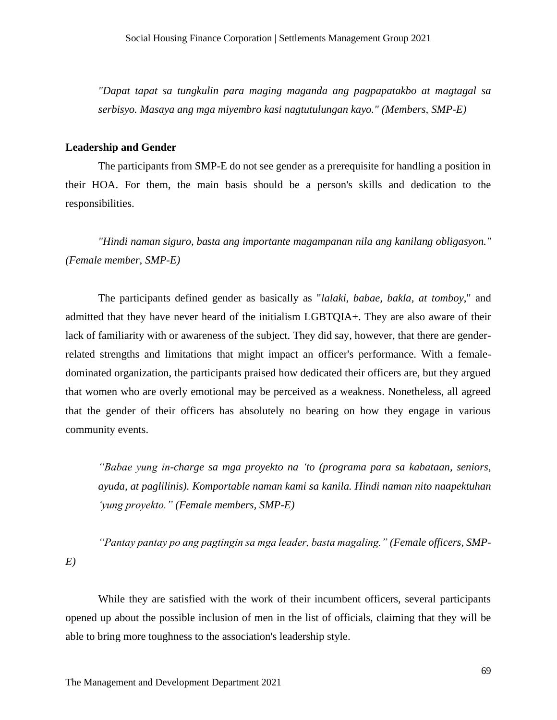*"Dapat tapat sa tungkulin para maging maganda ang pagpapatakbo at magtagal sa serbisyo. Masaya ang mga miyembro kasi nagtutulungan kayo." (Members, SMP-E)*

#### **Leadership and Gender**

The participants from SMP-E do not see gender as a prerequisite for handling a position in their HOA. For them, the main basis should be a person's skills and dedication to the responsibilities.

*"Hindi naman siguro, basta ang importante magampanan nila ang kanilang obligasyon." (Female member, SMP-E)*

The participants defined gender as basically as "*lalaki, babae, bakla, at tomboy*," and admitted that they have never heard of the initialism LGBTQIA+. They are also aware of their lack of familiarity with or awareness of the subject. They did say, however, that there are genderrelated strengths and limitations that might impact an officer's performance. With a femaledominated organization, the participants praised how dedicated their officers are, but they argued that women who are overly emotional may be perceived as a weakness. Nonetheless, all agreed that the gender of their officers has absolutely no bearing on how they engage in various community events.

*"Babae yung in-charge sa mga proyekto na 'to (programa para sa kabataan, seniors, ayuda, at paglilinis). Komportable naman kami sa kanila. Hindi naman nito naapektuhan 'yung proyekto." (Female members, SMP-E)*

*"Pantay pantay po ang pagtingin sa mga leader, basta magaling." (Female officers, SMP-E)*

While they are satisfied with the work of their incumbent officers, several participants opened up about the possible inclusion of men in the list of officials, claiming that they will be able to bring more toughness to the association's leadership style.